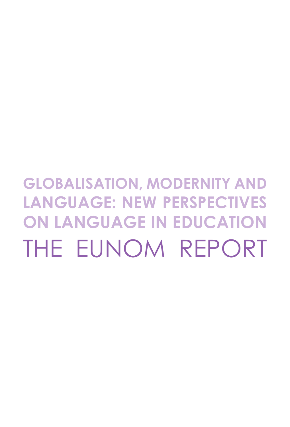# **Globalisation, Modernity and Language: New Perspectives on Language in education** THE EUNOM REPORT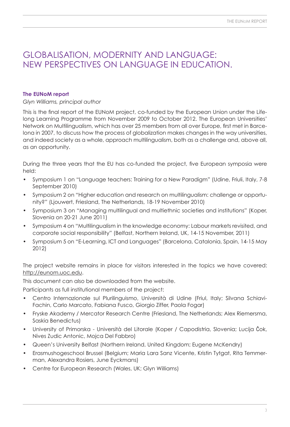### Globalisation, Modernity and Language: New Perspectives on LANGUAGE in education.

### **The EUNoM report**

### *Glyn Williams, principal author*

This is the final report of the EUNoM project, co-funded by the European Union under the Lifelong Learning Programme from November 2009 to October 2012. The European Universities' Network on Multilingualism, which has over 25 members from all over Europe, first met in Barcelona in 2007, to discuss how the process of globalization makes changes in the way universities, and indeed society as a whole, approach multilingualism, both as a challenge and, above all, as an opportunity.

During the three years that the EU has co-funded the project, five European symposia were held:

- Symposium 1 on "Language teachers: Training for a New Paradigm" (Udine, Friuli, Italy, 7-8 September 2010)
- Symposium 2 on "Higher education and research on multilingualism: challenge or opportunity?" (Ljouwert, Friesland, The Netherlands, 18-19 November 2010)
- Symposium 3 on "Managing multilingual and multiethnic societies and institutions" (Koper, Slovenia on 20-21 June 2011)
- Symposium 4 on "Multilingualism in the knowledge economy: Labour markets revisited, and corporate social responsibility" (Belfast, Northern Ireland, UK, 14-15 November, 2011)
- Symposium 5 on "E-Learning, ICT and Languages" (Barcelona, Catalonia, Spain, 14-15 May 2012)

The project website remains in place for visitors interested in the topics we have covered: [http://eunom.uoc.edu.](http://eunom.uoc.edu) 

This document can also be downloaded from the website.

Participants as full institutional members of the project:

- Centro Internazionale sul Plurilinguismo, Università di Udine (Friul, Italy; Silvana Schiavi-Fachin, Carlo Marcato, Fabiana Fusco, Giorgio Ziffer, Paola Fogar)
- Fryske Akademy / Mercator Research Centre (Friesland, The Netherlands; Alex Riemersma, Saskia Benedictus)
- University of Primorska Università del Litorale (Koper / Capodistria, Slovenia; Lucija Čok, Nives Zudic Antonic, Mojca Del Fabbro)
- Queen's University Belfast (Northern Ireland, United Kingdom; Eugene McKendry)
- Erasmushogeschool Brussel (Belgium; Maria Lara Sanz Vicente, Kristin Tytgat, Rita Temmerman, Alexandra Rosiers, June Eyckmans)
- Centre for European Research (Wales, UK; Glyn Williams)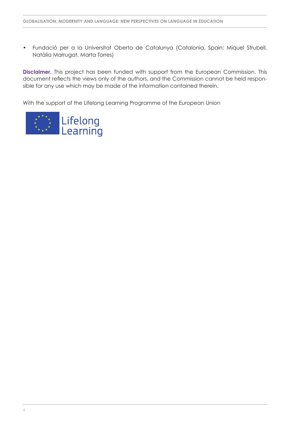• Fundació per a la Universitat Oberta de Catalunya (Catalonia, Spain; Miquel Strubell, Natàlia Marrugat, Marta Torres)

**Disclaimer.** This project has been funded with support from the European Commission. This document reflects the views only of the authors, and the Commission cannot be held responsible for any use which may be made of the information contained therein.

With the support of the Lifelong Learning Programme of the European Union

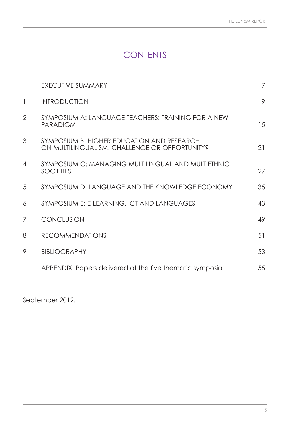# **CONTENTS**

|                | <b>EXECUTIVE SUMMARY</b>                                                                    | 7  |
|----------------|---------------------------------------------------------------------------------------------|----|
| $\mathbf{1}$   | <b>INTRODUCTION</b>                                                                         | 9  |
| $\overline{2}$ | SYMPOSIUM A: LANGUAGE TEACHERS: TRAINING FOR A NEW<br><b>PARADIGM</b>                       | 15 |
| 3              | SYMPOSIUM B: HIGHER EDUCATION AND RESEARCH<br>ON MULTILINGUALISM: CHALLENGE OR OPPORTUNITY? | 21 |
| 4              | SYMPOSIUM C: MANAGING MULTILINGUAL AND MULTIETHNIC<br><b>SOCIETIES</b>                      | 27 |
| 5              | SYMPOSIUM D: LANGUAGE AND THE KNOWLEDGE ECONOMY                                             | 35 |
| 6              | SYMPOSIUM E: E-LEARNING, ICT AND LANGUAGES                                                  | 43 |
| 7              | <b>CONCLUSION</b>                                                                           | 49 |
| 8              | <b>RECOMMENDATIONS</b>                                                                      | 51 |
| 9              | <b>BIBLIOGRAPHY</b>                                                                         | 53 |
|                | APPENDIX: Papers delivered at the five thematic symposia                                    | 55 |
|                |                                                                                             |    |

September 2012.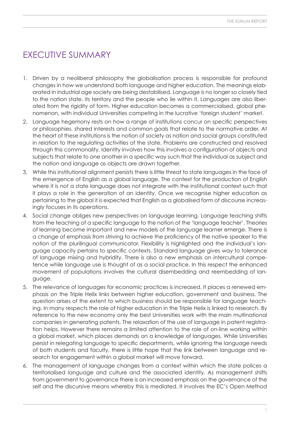# Executive Summary

- 1. Driven by a neoliberal philosophy the globalisation process is responsible for profound changes in how we understand both language and higher education. The meanings elaborated in industrial age society are being destabilised. Language is no longer so closely tied to the nation state, its territory and the people who lie within it. Languages are also liberated from the rigidity of form. Higher education becomes a commercialised, global phenomenon, with individual Universities competing in the lucrative 'foreign student' market.
- 2. Language hegemony rests on how a range of institutions concur on specific perspectives or philosophies, shared interests and common goals that relate to the normative order. At the heart of these institutions is the notion of society as nation and social groups constituted in relation to the regulating activities of the state. Problems are constructed and resolved through this commonality. Identity involves how this involves a configuration of objects and subjects that relate to one another in a specific way such that the individual as subject and the nation and language as objects are drawn together.
- 3. While this institutional alignment persists there is little threat to state languages in the face of the emergence of English as a global language. The context for the production of English where it is not a state language does not integrate with the institutional context such that it plays a role in the generation of an identity. Once we recognise higher education as pertaining to the global it is expected that English as a globalised form of discourse increasingly focuses in its operations.
- 4. Social change obliges new perspectives on language learning. Language teaching shifts from the teaching of a specific language to the notion of the 'language teacher'. Theories of learning become important and new models of the language learner emerge. There is a change of emphasis from striving to achieve the proficiency of the native speaker to the notion of the plurilingual communicator. Flexibility is highlighted and the individual's language capacity pertains to specific contexts. Standard language gives way to tolerance of language mixing and hybridity. There is also a new emphasis on intercultural competence while language use is thought of as a social practice. In this respect the enhanced movement of populations involves the cultural disembedding and reembedding of language.
- 5. The relevance of languages for economic practices is increased. It places a renewed emphasis on the Triple Helix links between higher education, government and business. The question arises of the extent to which business should be responsible for language teaching. In many respects the role of higher education in the Triple Helix is linked to research. By reference to the new economy only the best Universities work with the main multinational companies in generating patents. The relaxation of the use of language in patent registration helps. However there remains a limited attention to the role of on-line working within a global market, which places demands on a knowledge of languages. While Universities persist in relegating language to specific departments, while ignoring the language needs of both students and faculty, there is little hope that the link between language and research for engagement within a global market will move forward.
- 6. The management of language changes from a context within which the state polices a territorialised language and culture and the associated identity. As management shifts from government to governance there is an increased emphasis on the governance of the self and the discursive means whereby this is mediated. It involves the EC's Open Method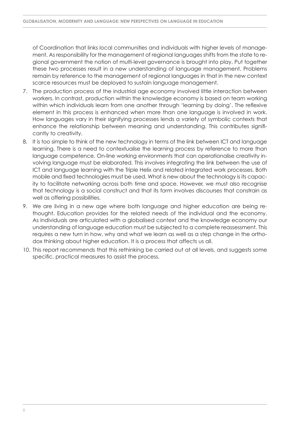of Coordination that links local communities and individuals with higher levels of management. As responsibility for the management of regional languages shifts from the state to regional government the notion of multi-level governance is brought into play. Put together these two processes result in a new understanding of language management. Problems remain by reference to the management of regional languages in that in the new context scarce resources must be deployed to sustain language management.

- 7. The production process of the industrial age economy involved little interaction between workers. In contrast, production within the knowledge economy is based on team working within which individuals learn from one another through 'learning by doing'. The reflexive element in this process is enhanced when more than one language is involved in work. How languages vary in their signifying processes lends a variety of symbolic contexts that enhance the relationship between meaning and understanding. This contributes significantly to creativity.
- 8. It is too simple to think of the new technology in terms of the link between ICT and language learning. There is a need to contextualise the learning process by reference to more than language competence. On-line working environments that can operationalise creativity involving language must be elaborated. This involves integrating the link between the use of ICT and language learning with the Triple Helix and related integrated work processes. Both mobile and fixed technologies must be used. What is new about the technology is its capacity to facilitate networking across both time and space. However, we must also recognise that technology is a social construct and that its form involves discourses that constrain as well as offering possibilities.
- 9. We are living in a new age where both language and higher education are being rethought. Education provides for the related needs of the individual and the economy. As individuals are articulated with a globalised context and the knowledge economy our understanding of language education must be subjected to a complete reassessment. This requires a new turn in how, why and what we learn as well as a step change in the orthodox thinking about higher education. It is a process that affects us all.
- 10. This report recommends that this rethinking be carried out at all levels, and suggests some specific, practical measures to assist the process.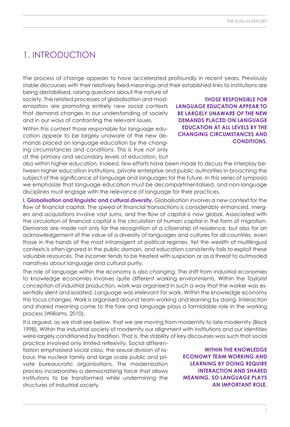# 1. Introduction

The process of change appears to have accelerated profoundly in recent years. Previously stable discourses with their relatively fixed meanings and their established links to institutions are

being destabilised, raising questions about the nature of society. The related processes of globalisation and modernisation are promoting entirely new social contexts that demand changes in our understanding of society and in our ways of confronting the relevant issues.

Within this context those responsible for language education appear to be largely unaware of the new demands placed on language education by the changing circumstances and conditions. This is true not only at the primary and secondary levels of education, but

**Those responsible for language education appear to be largely unaware of the new demands placed on language education at all levels by the changing circumstances and conditions.**

also within higher education. Indeed, few efforts have been made to discuss the interplay between higher education institutions, private enterprise and public authorities in broaching the subject of the significance of language and languages for the future. In this series of symposia we emphasize that language education must be decompartmentalised, and non-language disciplines must engage with the relevance of language for their practices.

**i. Globalisation and linguistic and cultural diversity.** Globalisation involves a new context for the flow of financial capital. The speed of financial transactions is considerably enhanced, mergers and acquisitions involve vast sums, and the flow of capital is now global. Associated with the circulation of financial capital is the circulation of human capital in the form of migration. Demands are made not only for the recognition of a citizenship of residence, but also for an acknowledgement of the value of a diversity of languages and cultures for all countries, even those in the hands of the most intransigent of political regimes. Yet the wealth of multilingual contexts is often ignored in the public domain, and education consistently fails to exploit these valuable resources. The incomer tends to be treated with suspicion or as a threat to outmoded narratives about language and cultural purity.

The role of language within the economy is also changing. The shift from industrial economies to knowledge economies involves quite different working environments. Within the Taylorist conception of industrial production, work was organised in such a way that the worker was essentially silent and isolated. Language was irrelevant for work. Within the knowledge economy this focus changes. Work is organised around team working and learning by doing. Interaction and shared meaning come to the fore and language plays a formidable role in the working process (Williams, 2010).

It is argued, as we shall see below, that we are moving from modernity to late modernity (Beck 1998). Within the industrial society of modernity our alignment with institutions and our identities were largely conditioned by tradition. That is, the stability of key discourses was such that social

practice involved only limited reflexivity. Social differentiation emphasised social class, the sexual division of labour, the nuclear family and large scale public and private bureaucratic organisations. The modernisation process incorporates a democratising force that allows institutions to be transformed while undermining the structures of industrial society.

**Within the knowledge economy team working and learning by doing require interaction and shared meaning, so language plays an important role.**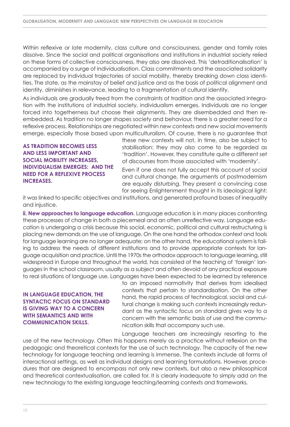Within reflexive or late modernity, class culture and consciousness, gender and family roles dissolve. Since the social and political organisations and institutions in industrial society relied on these forms of collective consciousness, they also are dissolved. This 'detraditionalisation' is accompanied by a surge of individualisation. Class commitments and the associated solidarity are replaced by individual trajectories of social mobility, thereby breaking down class identities. The state, as the mainstay of belief and justice and as the basis of political alignment and identity, diminishes in relevance, leading to a fragmentation of cultural identity.

As individuals are gradually freed from the constraints of tradition and the associated integration with the institutions of industrial society, individualism emerges. Individuals are no longer forced into togetherness but choose their alignments. They are disembedded and then reembedded. As tradition no longer shapes society and behaviour, there is a greater need for a reflexive process. Relationships are negotiated within new contexts and new social movements emerge, especially those based upon multiculturalism. Of course, there is no guarantee that

**As tradition becomes less and less important and social mobility increases, individualism emerges: and the need for a reflexive process increases.** 

these new contexts will not, in time, also be subject to stabilisation: they may also come to be regarded as 'tradition'. However, they constitute quite a different set of discourses from those associated with 'modernity'.

Even if one does not fully accept this account of social and cultural change, the arguments of postmodernism are equally disturbing. They present a convincing case for seeing Enlightenment thought in its ideological light:

it was linked to specific objectives and institutions, and generated profound bases of inequality and injustice.

**ii. New approaches to language education.** Language education is in many places confronting these processes of change in both a piecemeal and an often unreflective way. Language education is undergoing a crisis because this social, economic, political and cultural restructuring is placing new demands on the use of language. On the one hand the orthodox context and tools for language learning are no longer adequate; on the other hand, the educational system is failing to address the needs of different institutions and to provide appropriate contexts for language acquisition and practice. Until the 1970s the orthodox approach to language learning, still widespread in Europe and throughout the world, has consisted of the teaching of 'foreign' languages in the school classroom, usually as a subject and often devoid of any practical exposure to real situations of language use. Languages have been expected to be learned by reference

### **IN LANGUAGE EDUCATION, THE syntactic focus on standard is giving way to a concern with semantics and with communication skills.**

to an imposed normativity that derives from idealised contexts that pertain to standardisation. On the other hand, the rapid process of technological, social and cultural change is making such contexts increasingly redundant as the syntactic focus on standard gives way to a concern with the semantic basis of use and the communication skills that accompany such use.

Language teachers are increasingly resorting to the use of the new technology. Often this happens merely as a practice without reflexion on the pedagogic and theoretical contexts for the use of such technology. The capacity of the new technology for language teaching and learning is immense. The contexts include all forms of interactional settings, as well as individual designs and learning formulations. However, procedures that are designed to encompass not only new contexts, but also a new philosophical and theoretical contextualisation, are called for. It is clearly inadequate to simply add on the new technology to the existing language teaching/learning contexts and frameworks.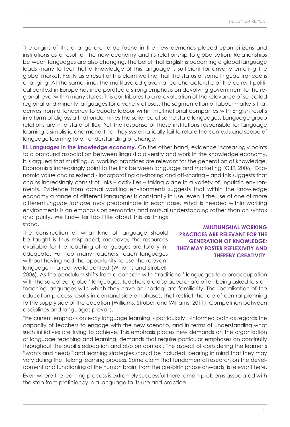The origins of this change are to be found in the new demands placed upon citizens and institutions as a result of the new economy and its relationship to globalisation. Relationships between languages are also changing. The belief that English is becoming a global language leads many to feel that a knowledge of this language is sufficient for anyone entering the global market. Partly as a result of this claim we find that the status of some linguae francae is changing. At the same time, the multilayered governance characteristic of the current political context in Europe has incorporated a strong emphasis on devolving government to the regional level within many states. This contributes to a re-evaluation of the relevance of so-called regional and minority languages for a variety of uses. The segmentation of labour markets that derives from a tendency to equate labour within multinational companies with English results in a form of diglossia that undermines the salience of some state languages. Language group relations are in a state of flux. Yet the response of those institutions responsible for language learning is simplistic and monolithic: they systematically fail to relate the contexts and scope of language learning to an understanding of change.

**iii. Languages in the knowledge economy.** On the other hand, evidence increasingly points to a profound association between linguistic diversity and work in the knowledge economy. It is argued that multilingual working practices are relevant for the generation of knowledge. Economists increasingly point to the link between language and marketing (CILT, 2006). Economic value chains extend - incorporating on-shoring and off-shoring – and this suggests that chains increasingly consist of links – activities – taking place in a variety of linguistic environments. Evidence from actual working environments suggests that within the knowledge economy a range of different languages is constantly in use, even if the use of one of more different *linguae francae* may predominate in each case. What is needed within working environments is an emphasis on semantics and mutual understanding rather than on syntax and purity. We know far too little about this as things stand.

The construction of what kind of language should be taught is thus misplaced; moreover, the resources available for the teaching of languages are totally inadequate. Far too many teachers teach languages without having had the opportunity to use the relevant language in a real world context (Williams and Strubell,

**Multilingual working practices are relevant for the generation of knowledge; they may foster reflexivity and thereby creativity.** 

2006). As the pendulum shifts from a concern with 'traditional' languages to a preoccupation with the so-called 'global' languages, teachers are displaced or are often being asked to start teaching languages with which they have an inadequate familiarity. The liberalisation of the education process results in demand-side emphases, that restrict the role of central planning to the supply side of the equation (Williams, Strubell and Williams, 2011). Competition between disciplines and languages prevails.

The current emphasis on early language learning is particularly ill-informed both as regards the capacity of teachers to engage with the new scenario, and in terms of understanding what such initiatives are trying to achieve. This emphasis places new demands on the organisation of language teaching and learning, demands that require particular emphases on continuity throughout the pupil's education and also on context. The aspect of considering the learner's "wants and needs" and learning strategies should be included, bearing in mind that they may vary during the lifelong learning process. Some claim that fundamental research on the development and functioning of the human brain, from the pre-birth phase onwards, is relevant here.

Even where the learning process is extremely successful there remain problems associated with the step from proficiency in a language to its use and practice.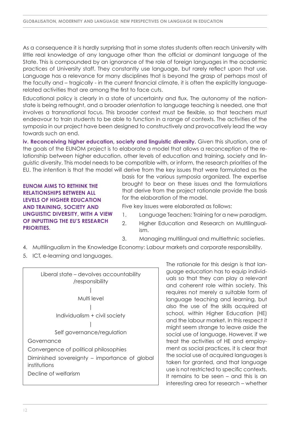As a consequence it is hardly surprising that in some states students often reach University with little real knowledge of any language other than the official or dominant language of the State. This is compounded by an ignorance of the role of foreign languages in the academic practices of University staff. They constantly use language, but rarely reflect upon that use. Language has a relevance for many disciplines that is beyond the grasp of perhaps most of the faculty and – tragically - in the current financial climate, it is often the explicitly languagerelated activities that are among the first to face cuts.

Educational policy is clearly in a state of uncertainty and flux. The autonomy of the nationstate is being rethought, and a broader orientation to language teaching is needed, one that involves a transnational focus. This broader context must be flexible, so that teachers must endeavour to train students to be able to function in a range of contexts. The activities of the symposia in our project have been designed to constructively and provocatively lead the way towards such an end.

**iv. Reconceiving higher education, society and linguistic diversity.** Given this situation, one of the goals of the EUNOM project is to elaborate a model that allows a reconception of the relationship between higher education, other levels of education and training, society and linguistic diversity. This model needs to be compatible with, or inform, the research priorities of the EU. The intention is that the model will derive from the key issues that were formulated as the

**EUNOM aims to rethink the relationships between all levels of higher education and training, society and linguistic diversity, with a view of inputting the EU's research priorities.** 

basis for the various symposia organized. The expertise brought to bear on these issues and the formulations that derive from the project rationale provide the basis for the elaboration of the model.

Five key issues were elaborated as follows:

- 1. Language Teachers: Training for a new paradigm.
- 2. Higher Education and Research on Multilingualism.
- 3. Managing multilingual and multiethnic societies.
- 4. Multilingualism in the Knowledge Economy: Labour markets and corporate responsibility.
- 5. ICT, e-learning and languages.



The rationale for this design is that language education has to equip individuals so that they can play a relevant and coherent role within society. This requires not merely a suitable form of language teaching and learning, but also the use of the skills acquired at school, within Higher Education (HE) and the labour market. In this respect it might seem strange to leave aside the social use of language. However, if we treat the activities of HE and employment as social practices, it is clear that the social use of acquired languages is taken for granted, and that language use is not restricted to specific contexts. It remains to be seen – and this is an interesting area for research – whether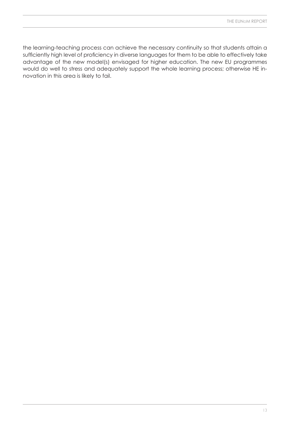the learning-teaching process can achieve the necessary continuity so that students attain a sufficiently high level of proficiency in diverse languages for them to be able to effectively take advantage of the new model(s) envisaged for higher education. The new EU programmes would do well to stress and adequately support the whole learning process; otherwise HE innovation in this area is likely to fail.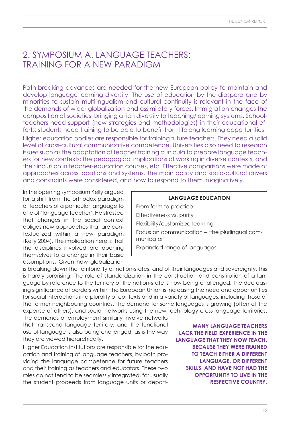### 2. Symposium A. Language Teachers: Training for a new paradigm

Path-breaking advances are needed for the new European policy to maintain and develop language-learning diversity. The use of education by the diaspora and by minorities to sustain multilingualism and cultural continuity is relevant in the face of the demands of wider globalization and assimilatory forces. Immigration changes the composition of societies, bringing a rich diversity to teaching/learning systems. Schoolteachers need support (new strategies and methodologies) in their educational efforts; students need training to be able to benefit from lifelong learning opportunities. Higher education bodies are responsible for training future teachers. They need a solid level of cross-cultural communicative competence. Universities also need to research issues such as the adaptation of teacher training curricula to prepare language teach-

ers for new contexts; the pedagogical implications of working in diverse contexts, and their inclusion in teacher-education courses, etc. Effective comparisons were made of approaches across locations and systems. The main policy and socio-cultural drivers and constraints were considered, and how to respond to them imaginatively.

In the opening symposium Kelly argued for a shift from the orthodox paradigm of teachers of a particular language to one of 'language teacher'. He stressed that changes in the social context obliges new approaches that are contextualized within a new paradigm (Kelly 2004). The implication here is that the disciplines involved are opening themselves to a change in their basic assumptions. Given how globalization

**LANGUAGE EDUCATION** From form to practice Effectiveness vs. purity Flexibility/customized learning Focus on communication – 'the plurlingual communicator' Expanded range of languages

is breaking down the territoriality of nation-states, and of their languages and sovereignty, this is hardly surprising. The role of standardization in the construction and constitution of a language by reference to the territory of the nation-state is now being challenged. The decreasing significance of borders withiin the European Union is increasing the need and opportunities for social interactions in a plurality of contexts and in a variety of languages, including those of the former neighbouring countries. The demand for some languages is growing (often at the expense of others), and social networks using the new technology cross language territories.

The demands of employment similarly involve networks that transcend language territory, and the functional use of language is also being challenged, as is the way they are viewed hierarchically.

Higher Education institutions are responsible for the education and training of language teachers, by both providing the language competence for future teachers and their training as teachers and educators. These two roles do not tend to be seamlessly integrated, for usually the student proceeds from language units or depart-

**Many language teachers lack the field experience in the language that they now teach, because they were trained to teach either a different language, or different skills, and have not had the opportunity to live in the respective country.**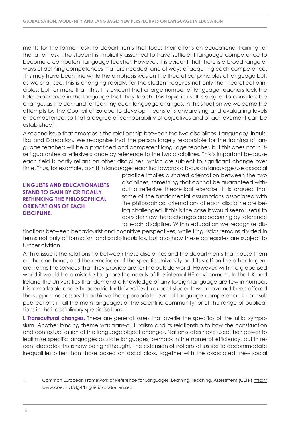ments for the former task, to departments that focus their efforts on educational training for the latter task. The student is implicitly assumed to have sufficient language competence to become a competent language teacher. However, it is evident that there is a broad range of ways of defining competences that are needed, and of ways of acquiring each competence. This may have been fine while the emphasis was on the theoretical principles of language but, as we shall see, this is changing rapidly, for the student requires not only the theoretical principles, but far more than this. It is evident that a large number of language teachers lack the field experience in the language that they teach. This topic in itself is subject to considerable change, as the demand for learning each language changes. In this situation we welcome the attempts by the Council of Europe to develop means of standardising and evaluating levels of competence, so that a degree of comparability of objectives and of achievement can be established1.

A second issue that emerges is the relationship between the two disciplines: Language/Linguistics and Education. We recognise that the person largely responsible for the training of language teachers will be a practiced and competent language teacher, but this does not in itself guarantee a reflexive stance by reference to the two disciplines. This is important because each field is partly reliant on other disciplines, which are subject to significant change over time. Thus, for example, a shift in language teaching towards a focus on language use as social

### **Linguists and educationalists stand to gain by critically rethinking the philosophical orientations of each discipline.**

practice implies a shared orientation between the two disciplines, something that cannot be guaranteed without a reflexive theoretical exercise. It is argued that some of the fundamental assumptions associated with the philosophical orientations of each discipline are being challenged. If this is the case it would seem useful to consider how these changes are occurring by reference to each discipline. Within education we recognise dis-

tinctions between behaviourist and cognitive perspectives, while Linguistics remains divided in terms not only of formalism and sociolinguistics, but also how these categories are subject to further division.

A third issue is the relationship between these disciplines and the departments that house them on the one hand, and the remainder of the specific University and its staff on the other. In general terms the services that they provide are for the outside world. However, within a globalised world it would be a mistake to ignore the needs of the internal HE environment. In the UK and Ireland the Universities that demand a knowledge of any foreign language are few in number. It is remarkable and ethnocentric for Universities to expect students who have not been offered the support necessary to achieve the appropriate level of language competence to consult publications in all the main languages of the scientific community, or of the range of publications in their disciplinary specialisations.

**i. Transcultural changes.** These are general issues that overlie the specifics of the initial symposium. Another binding theme was trans-culturalism and its relationship to how the construction and contextualisation of the language object changes. Nation-states have used their power to legitimise specific languages as state languages, perhaps in the name of efficiency, but in recent decades this is now being rethought. The extension of notions of justice to accommodate inequalities other than those based on social class, together with the associated 'new social

<sup>1.</sup> Common European Framework of Reference for Languages: Learning, Teaching, Assessment (CEFR) [http://](http://www.coe.int/t/dg4/linguistic/cadre_en.asp) [www.coe.int/t/dg4/linguistic/cadre\\_en.asp](http://www.coe.int/t/dg4/linguistic/cadre_en.asp)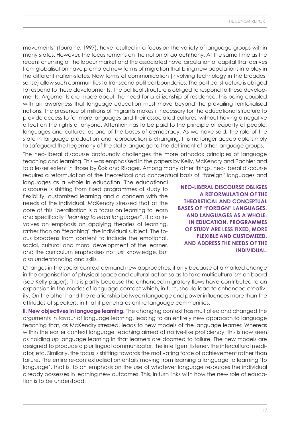movements' (Touraine, 1997), have resulted in a focus on the variety of language groups within many states. However, the focus remains on the notion of autochthony. At the same time as the recent churning of the labour market and the associated novel circulation of capital that derives from globalisation have promoted new forms of migration that bring new populations into play in the different nation-states. New forms of communication (involving technology in the broadest sense) allow such communities to transcend political boundaries. The political structure is obliged to respond to these developments. The political structure is obliged to respond to these developments. Arguments are made about the need for a citizenship of residence, this being coupled with an awareness that language education must move beyond the prevailing territorialised notions. The presence of millions of migrants makes it necessary for the educational structure to provide access to far more languages and their associated cultures, without having a negative effect on the rights of anyone. Attention has to be paid to the principle of equality of people, languages and cultures, as one of the bases of democracy. As we have said, the role of the state in language production and reproduction is changing. It is no longer acceptable simply to safeguard the hegemony of the state language to the detriment of other language groups.

The neo-liberal discourse profoundly challenges the more orthodox principles of language teaching and learning. This was emphasised in the papers by Kelly, McKendry and Pachler and to a lesser extent in those by Čok and Risager. Among many other things, neo-liberal discourse requires a reformulation of the theoretical and conceptual basis of "foreign" languages and

languages as a whole in education. The educational discourse is shifting from fixed programmes of study to flexibility, customized learning and a concern with the needs of the individual. McKendry stressed that at the core of this liberalisation is a focus on learning to learn and specifically *"learning to learn languages"*. It also involves an emphasis on applying theories of learning, rather than on "teaching" the individual subject. The focus broadens from content to include the emotional, social, cultural and moral development of the learner, and the curriculum emphasises not just knowledge, but also understanding and skills.

**Neo-liberal discourse obliges a reformulation of the theoretical and conceptual bases of "foreign" languages, and languages as a whole, in education. Programmes of study are less fixed, more flexible and customized, and address the needs of the individual.**

Changes in the social context demand new approaches, if only because of a marked change in the organisation of physical space and cultural action so as to take multiculturalism on board (see Kelly paper). This is partly because the enhanced migratory flows have contributed to an expansion in the modes of language contact which, in turn, should lead to enhanced creativity. On the other hand the relationship between language and power influences more than the attitudes of speakers, in that it penetrates entire language communities.

**ii. New objectives in language learning.** The changing context has multiplied and changed the arguments in favour of language learning, leading to an entirely new approach to language teaching that, as McKendry stressed, leads to new models of the language learner. Whereas within the earlier context language teaching aimed at native-like proficiency, this is now seen as holding up language learning in that learners are doomed to failure. The new models are designed to produce a plurilingual communicator, the intelligent listener, the intercultural mediator, etc. Similarly, the focus is shifting towards the motivating force of achievement rather than failure. The entire re-contextualisation entails moving from learning a language to learning 'to language', that is, to an emphasis on the use of whatever language resources the individual already possesses in learning new outcomes. This, in turn links with how the new role of education is to be understood.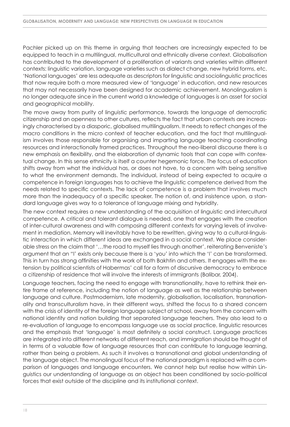Pachler picked up on this theme in arguing that teachers are increasingly expected to be equipped to teach in a multilingual, multicultural and ethnically diverse context. Globalisation has contributed to the development of a proliferation of variants and varieties within different contexts: linguistic variation, language varieties such as dialect change, new hybrid forms, etc. 'National languages' are less adequate as descriptors for linguistic and sociolinguistic practices that now require both a more measured view of 'language' in education, and new resources that may not necessarily have been designed for academic achievement. Monolingualism is no longer adequate since in the current world a knowledge of languages is an asset for social and geographical mobility.

The move away from purity of linguistic performance, towards the language of democratic citizenship and an openness to other cultures, reflects the fact that urban contexts are increasingly characterised by a diasporic, globalised multilingualism. It needs to reflect changes of the macro conditions in the micro context of teacher education, and the fact that multilingualism involves those responsible for organising and imparting language teaching coordinating resources and interactionally framed practices. Throughout the neo-liberal discourse there is a new emphasis on flexibility, and the elaboration of dynamic tools that can cope with contextual change. In this sense ethnicity is itself a counter hegemonic force. The focus of education shifts away from what the individual has, or does not have, to a concern with being sensitive to what the environment demands. The individual, instead of being expected to acquire a competence in foreign languages has to achieve the linguistic competence derived from the needs related to specific contexts. The lack of competence is a problem that involves much more than the inadequacy of a specific speaker. The notion of, and insistence upon, a standard language gives way to a tolerance of language mixing and hybridity.

The new context requires a new understanding of the acquisition of linguistic and intercultural competence. A critical and tolerant dialogue is needed, one that engages with the creation of inter-cultural awareness and with composing different contexts for varying levels of involvement in mediation. Memory will inevitably have to be rewritten, giving way to a cultural-linguistic interaction in which different ideas are exchanged in a social context. We place considerable stress on the claim that '…the road to myself lies through another', reiterating Benveniste's argument that an "I' exists only because there is a 'you' into which the 'I' can be transformed. This in turn has strong affinities with the work of both Bakhtin and others. It engages with the extension by political scientists of Habermas' call for a form of discursive democracy to embrace a citizenship of residence that will involve the interests of immigrants (Balibar, 2004).

Language teachers, facing the need to engage with transnationality, have to rethink their entire frame of reference, including the notion of language as well as the relationship between language and culture. Postmodernism, late modernity, globalisation, localisation, transnationality and transculturalism have, in their different ways, shifted the focus to a shared concern with the crisis of identity of the foreign language subject at school, away from the concern with national identity and nation building that separated language teachers. They also lead to a re-evaluation of language to encompass language use as social practice, linguistic resources and the emphasis that 'language' is most definitely a social construct. Language practices are integrated into different networks of different reach, and immigration should be thought of in terms of a valuable flow of language resources that can contribute to language learning, rather than being a problem. As such it involves a transnational and global understanding of the language object. The monolingual focus of the national paradigm is replaced with a comparison of languages and language encounters. We cannot help but realise how within Linguistics our understanding of language as an object has been conditioned by socio-political forces that exist outside of the discipline and its institutional context.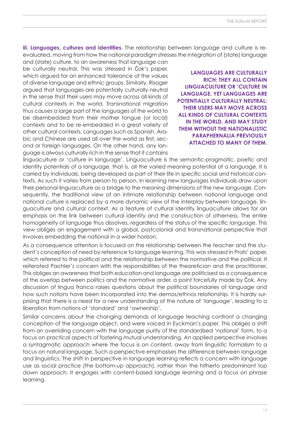**iii. Languages, cultures and identities.** The relationship between language and culture is reevaluated, moving from how the national paradigm stresses the integration of (state) language

and (state) culture, to an awareness that language can be culturally neutral. This was stressed in Čok's paper, which argued for an enhanced tolerance of the values of diverse language and ethnic groups. Similarly, Risager argued that languages are potentially culturally neutral in the sense that their users may move across all kinds of cultural contexts in the world. Transnational migration thus causes a large part of the languages of the world to be disembedded from their mother tongue (or local) contexts and to be re-embedded in a great variety of other cultural contexts. Languages such as Spanish, Arabic and Chinese are used all over the world as first, second or foreign languages. On the other hand, any language is always culturally rich in the sense that it contains

**Languages are culturally rich: they all contain linguaculture or 'culture in language. Yet languages are potentially culturally neutral: their users may move across all kinds of cultural contexts in the world, and may study them without the nationalistic paraphernalia previously attached to many of them.**

linguaculture or 'culture in language'. Linguaculture is the semantic-pragmatic, poetic and identity potentials of a language, that is, all the varied meaning potential of a language. It is carried by individuals, being developed as part of their life in specific social and historical contexts. As such it varies from person to person. In learning new languages individuals draw upon their personal linguaculture as a bridge to the meaning dimensions of the new language. Consequently, the traditional view of an intimate relationship between national language and national culture is replaced by a more dynamic view of the interplay between language, linguaculture and cultural context. As a feature of cultural identity linguaculture allows for an emphasis on the link between cultural identity and the construction of otherness. The entire homogeneity of language thus dissolves, regardless of the status of the specific language. This view obliges an engagement with a global, postcolonial and transnational perspective that involves embedding the national in a wider horizon.

As a consequence attention is focused on the relationship between the teacher and the student's conception of need by reference to language learning. This was stressed in Prats' paper, which referred to the political and the relationship between the normative and the political. It reiterated Pachler's concern with the responsibilities of the theoretician and the practitioner. This obliges an awareness that both education and language are politicised as a consequence of the overlap between politics and the normative order, a point forcefully made by Čok. Any discussion of lingua franca raises questions about the political boundaries of language and how such notions have been incorporated into the demos/ethnos relationship. It is hardly surprising that there is a need for a new understanding of the nature of 'language', leading to a liberation from notions of 'standard' and 'ownership'.

Similar concerns about the changing demands of language teaching confront a changing conception of the language object, and were voiced in Eyckman's paper. This obliges a shift from an overriding concern with the language purity of the standardised 'national' form, to a focus on practical aspects of fostering mutual understanding. An applied perspective involves a syntagmatic approach where the focus is on content, away from linguistic formalism to a focus on natural language. Such a perspective emphasises the difference between language and linguistics. The shift in perspective in language learning reflects a concern with language use as social practice (the bottom-up approach), rather than the hitherto predominant top down approach. It engages with content-based language learning and a focus on phrase learning.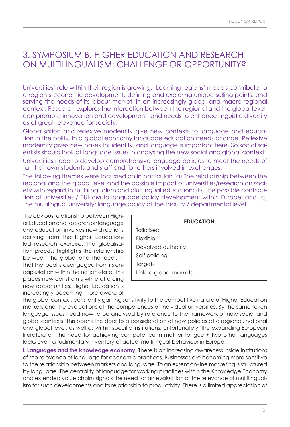# 3. Symposium B. Higher education and research on multilingualism: challenge or opportunity?

Universities' role within their region is growing. 'Learning regions' models contribute to a region's economic development, defining and exploring unique selling points, and serving the needs of its labour market, in an increasingly global and macro-regional context. Research explores the interaction between the regional and the global level, can promote innovation and development, and needs to enhance linguistic diversity as of great relevance for society.

Globalisation and reflexive modernity give new contexts to language and education in the polity. In a global economy language education needs change. Reflexive modernity gives new bases for identity, and language is important here. So social scientists should look at language issues in analysing the new social and global context.

Universities need to develop comprehensive language policies to meet the needs of (a) their own students and staff and (b) others involved in exchanges.

The following themes were focussed on in particular: (a) The relationship between the regional and the global level and the possible impact of universities/research on society with regard to multilingualism and plurilingual education; (b) The possible contribution of universities / EUNoM to language policy development within Europe; and (c) The multilingual university: language policy at the faculty / departmental level.

The obvious relationship between Higher Education and research on language and education involves new directions deriving from the Higher Educationled research exercise. The globalisation process highlights the relationship between the global and the local, in that the local is disengaged from its encapsulation within the nation-state. This places new constraints while affording new opportunities. Higher Education is increasingly becoming more aware of

| <b>EDUCATION</b>       |
|------------------------|
| Tailorised             |
| Flexible               |
| Devolved authority     |
| Self policing          |
| Targets                |
| Link to global markets |

the global context, constantly gaining sensitivity to the competitive nature of Higher Education markets and the evaluations of the competences of individual universities. By the same token language issues need now to be analysed by reference to the framework of new social and global contexts. This opens the door to a consideration of new policies at a regional, national and global level, as well as within specific institutions. Unfortunately, the expanding European literature on the need for achieving competence in mother tongue + two other languages lacks even a rudimentary inventory of actual multilingual behaviour in Europe.

**i. Languages and the knowledge economy.** There is an increasing awareness inside institutions of the relevance of language for economic practices. Businesses are becoming more sensitive to the relationship between markets and language. To an extent on-line marketing is structured by language. The centrality of language for working practices within the Knowledge Economy and extended value chains signals the need for an evaluation of the relevance of multilingualism for such developments and its relationship to productivity. There is a limited appreciation of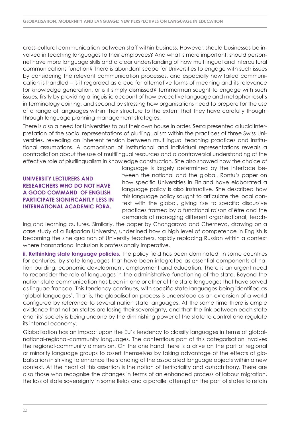cross-cultural communication between staff within business. However, should businesses be involved in teaching languages to their employees? And what is more important, should personnel have more language skills and a clear understanding of how multilingual and intercultural communications function? There is abundant scope for Universities to engage with such issues by considering the relevant communication processes, and especially how failed communication is handled – is it regarded as a cue for alternative forms of meaning and its relevance for knowledge generation, or is it simply dismissed? Temmerman sought to engage with such issues, firstly by providing a linguistic account of how evocative language and metaphor results in terminology coining, and second by stressing how organisations need to prepare for the use of a range of languages within their structure to the extent that they have carefully thought through language planning management strategies.

There is also a need for Universities to put their own house in order. Serra presented a lucid interpretation of the social representations of plurilingualism within the practices of three Swiss Universities, revealing an inherent tension between multilingual teaching practices and institutional assumptions. A comparison of institutional and individual representations reveals a contradiction about the use of multilingual resources and a controversial understanding of the effective role of plurilingualism in knowledge construction. She also showed how the choice of

**University lecturers and researchers who do not have a good command of English participate significantly less in international academic fora.**

language is largely determined by the interface between the national and the global. Rontu's paper on how specific Universities in Finland have elaborated a language policy is also instructive. She described how this language policy sought to articulate the local context with the global, giving rise to specific discursive practices framed by a functional raison d'être and the demands of managing different organisational, teach-

ing and learning cultures. Similarly, the paper by Chongarova and Cherneva, drawing on a case study of a Bulgarian University, underlined how a high level of competence in English is becoming the sine qua non of University teachers, rapidly replacing Russian within a context where transnational inclusion is professionally imperative.

**ii. Rethinking state language policies.** The policy field has been dominated, in some countries for centuries, by state languages that have been integrated as essential components of nation building, economic development, employment and education. There is an urgent need to reconsider the role of languages in the administrative functioning of the state. Beyond the nation-state communication has been in one or other of the state languages that have served as linguae francae. This tendency continues, with specific state languages being identified as 'global languages'. That is, the globalisation process is understood as an extension of a world configured by reference to several nation state languages. At the same time there is ample evidence that nation-states are losing their sovereignty, and that the link between each state and 'its' society is being undone by the diminishing power of the state to control and regulate its internal economy.

Globalisation has an impact upon the EU's tendency to classify languages in terms of globalnational-regional-community languages. The contentious part of this categorisation involves the regional-community dimension. On the one hand there is a drive on the part of regional or minority language groups to assert themselves by taking advantage of the effects of globalisation in striving to enhance the standing of the associated language objects within a new context. At the heart of this assertion is the notion of territoriality and autochthony. There are also those who recognise the changes in terms of an enhanced process of labour migration, the loss of state sovereignty in some fields and a parallel attempt on the part of states to retain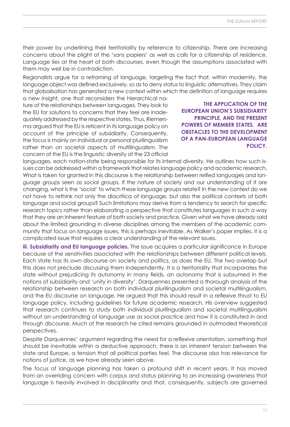their power by underlining their territoriality by reference to citizenship. There are increasing concerns about the plight of the 'sans papiers' as well as calls for a citizenship of residence. Language lies at the heart of both discourses, even though the assumptions associated with them may well be in contradiction.

Regionalists argue for a reframing of language, targeting the fact that, within modernity, the language object was defined exclusively, so as to deny status to linguistic alternatives. They claim that globalisation has generated a new context within which the definition of language requires

a new insight, one that reconsiders the hierarchical nature of the relationships between languages. They look to the EU for solutions to concerns that they feel are inadequately addressed by the respective states. Thus, Riemersma argued that the EU is reticent in its language policy on account of the principle of subsidiarity. Consequently, the focus is mainly on individual or personal plurilingualism rather than on societal aspects of multilingualism. The concern of the EU is the linguistic diversity of the 23 official

**The application of the European Union's subsidiarity principle, and the present powers of member States, are obstacles to the development of a pan-European language policy.**

languages, each nation-state being responsible for its internal diversity. He outlines how such issues can be addressed within a framework that relates language policy and academic research. What is taken for granted in this discourse is the relationship between reified languages and language groups seen as social groups. If the nature of society and our understanding of it are changing, what is the 'social' to which these language groups relate? In the new context do we not have to rethink not only the diacritica of language, but also the political contexts of both language and social groups? Such limitations may derive from a tendency to search for specific research topics rather than elaborating a perspective that constitutes languages in such a way that they are an inherent feature of both society and practice. Given what we have already said about the limited grounding in diverse disciplines among the members of the academic community that focus on language issues, this is perhaps inevitable. As Walker's paper implies, it is a complicated issue that requires a clear understanding of the relevant issues.

**iii. Subsidiarity and EU language policies.** The issue acquires a particular significance in Europe because of the sensitivities associated with the relationships between different political levels. Each state has its own discourse on society and politics, as does the EU. The two overlap but this does not preclude discussing them independently. It is a territoriality that incorporates the state without prejudicing its autonomy in many fields, an autonomy that is subsumed in the notions of subsidiarity and 'unity in diversity'. Darquennes presented a thorough analysis of the relationship between research on both individual plurilingualism and societal multilingualism, and the EU discourse on language. He argued that this should result in a reflexive thrust to EU language policy, including guidelines for future academic research. His overview suggested that research continues to study both individual plurilingualism and societal multilingualism without an understanding of language use as social practice and how it is constituted in and through discourse. Much of the research he cited remains grounded in outmoded theoretical perspectives.

Despite Darquennes' argument regarding the need for a reflexive orientation, something that should be inevitable within a deductive approach, there is an inherent tension between the state and Europe, a tension that all political parties feel. The discourse also has relevance for notions of justice, as we have already seen above.

The focus of language planning has taken a profound shift in recent years. It has moved from an overriding concern with corpus and status planning to an increasing awareness that language is heavily involved in disciplinarity and that, consequently, subjects are governed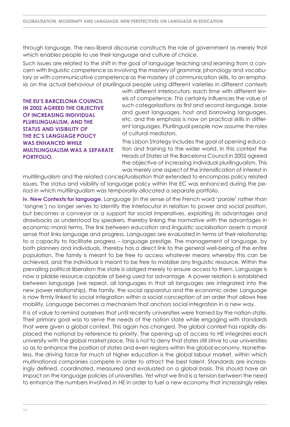through language. The neo-liberal discourse constructs the role of government as merely that which enables people to use their language and culture of choice.

Such issues are related to the shift in the goal of language teaching and learning from a concern with linguistic competence as involving the mastery of grammar, phonology and vocabulary or with communicative competence as the mastery of communication skills, to an emphasis on the actual behaviour of plurilingual people using different varieties in different contexts

**The EU's Barcelona Council in 2002 agreed the objective of increasing individual plurilingualism, and the status and visibility of the EC's language policy was enhanced while multilingualism was a separate portfolio.**

with different interlocutors, each time with different levels of competence. This certainly influences the value of such categorisations as first and second language, base and guest languages, host and borrowing languages, etc. and the emphasis is now on practical skills in different languages. Plurilingual people now assume the roles of cultural mediators.

The Lisbon Strategy includes the goal of opening education and training to the wider world. In this context the Heads of States at the Barcelona Council in 2002 agreed the objective of increasing individual plurilingualism. This was merely one aspect of the intensification of interest in

multilingualism and the related conceptualisation that extended to encompass policy related issues. The status and visibility of language policy within the EC was enhanced during the period in which multilingualism was temporarily allocated a separate portfolio.

**iv. New Contexts for language.** Language (in the sense of the French word 'parole' rather than 'langne') no longer serves to identify the interlocutor in relation to power and social position, but becomes a conveyor or a support for social imperatives, exploiting its advantages and drawbacks as understood by speakers, thereby linking the normative with the advantages in economic-moral terms. The link between education and linguistic socialisation asserts a moral sense that links language and progress. Languages are evaluated in terms of their relationship to a capacity to facilitate progress – language prestige. The management of language, by both planners and individuals, thereby has a direct link to the general well-being of the entire population. The family is meant to be free to access whatever means whereby this can be achieved, and the individual is meant to be free to mobilise any linguistic resource. Within the prevailing political liberalism the state is obliged merely to ensure access to them. Language is now a pliable resource capable of being used for advantage. A power relation is established between language (we repeat, all languages in that all languages are integrated into the new power relationship), the family, the social apparatus and the economic order. Language is now firmly linked to social integration within a social conception of an order that allows free mobility. Language becomes a mechanism that anchors social integration in a new way.

It is of value to remind ourselves that until recently universities were framed by the nation-state. Their primary goal was to serve the needs of the nation state while engaging with standards that were given a global context. This again has changed. The global context has rapidly displaced the national by reference to priority. The opening up of access to HE integrates each university with the global market place. This is not to deny that states still strive to use universities so as to enhance the position of states and even regions within the global economy. Nonetheless, the driving force for much of higher education is the global labour market, within which multinational companies compete in order to attract the best talent. Standards are increasingly defined, coordinated, measured and evaluated on a global basis. This should have an impact on the language policies of universities. Yet what we find is a tension between the need to enhance the numbers involved in HE in order to fuel a new economy that increasingly relies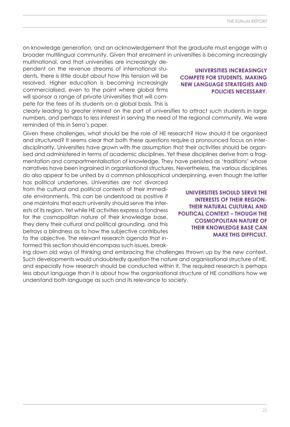on knowledge generation, and an acknowledgement that the graduate must engage with a broader multilingual community. Given that enrolment in universities is becoming increasingly

multinational, and that universities are increasingly dependent on the revenue streams of international students, there is little doubt about how this tension will be resolved. Higher education is becoming increasingly commercialised, even to the point where global firms will sponsor a range of private Universities that will compete for the fees of its students on a global basis. This is

clearly leading to greater interest on the part of universities to attract such students in large numbers, and perhaps to less interest in serving the need of the regional community. We were reminded of this in Serra's paper.

Given these challenges, what should be the role of HE research? How should it be organised and structured? It seems clear that both these questions require a pronounced focus on interdisciplinarity. Universities have grown with the assumption that their activities should be organised and administered in terms of academic disciplines. Yet these disciplines derive from a fragmentation and compartmentalisation of knowledge. They have persisted as 'traditions' whose narratives have been ingrained in organisational structures. Nevertheless, the various disciplines do also appear to be united by a common philosophical underpinning, even though the latter

has political undertones. Universities are not divorced from the cultural and political contexts of their immediate environments. This can be understood as positive if one maintains that each university should serve the interests of its region. Yet while HE activities express a fondness for the cosmopolitan nature of their knowledge base, they deny their cultural and political grounding, and this betrays a blindness as to how the subjective contributes to the objective. The relevant research agenda that informed this section should encompass such issues, break-

ing down old ways of thinking and embracing the challenges thrown up by the new context. Such developments would undoubtedly question the nature and organisational structure of HE, and especially how research should be conducted within it. The required research is perhaps less about language than it is about how the organisational structure of HE conditions how we understand both language as such and its relevance to society.

**Universities increasingly compete for students, making new language strategies and policies necessary.**

**Universities should serve the interests of their regiontheir natural cultural and political context – though the cosmopolitan nature of their knowledge base can make this difficult.**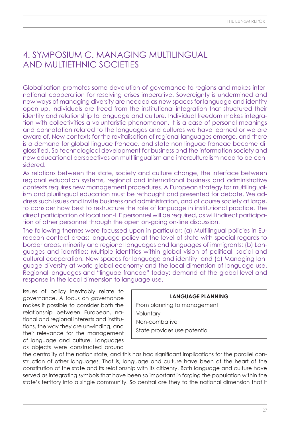### 4. Symposium C. Managing multilingual and multiethnic societies

Globalisation promotes some devolution of governance to regions and makes international cooperation for resolving crises imperative. Sovereignty is undermined and new ways of managing diversity are needed as new spaces for language and identity open up. Individuals are freed from the institutional integration that structured their identity and relationship to language and culture. Individual freedom makes integration with collectivities a voluntaristic phenomenon. It is a case of personal meanings and connotation related to the languages and cultures we have learned or we are aware of. New contexts for the revitalisation of regional languages emerge, and there is a demand for global linguae francae, and state non-linguae francae become diglossified. So technological development for business and the information society and new educational perspectives on multilingualism and interculturalism need to be considered.

As relations between the state, society and culture change, the interface between regional education systems, regional and international business and administrative contexts requires new management procedures. A European strategy for multilingualism and plurilingual education must be rethought and presented for debate. We address such issues and invite business and administration, and of course society at large, to consider how best to restructure the role of language in institutional practice. The direct participation of local non-HE personnel will be required, as will indirect participation of other personnel through the open on-going on-line discussion.

The following themes were focussed upon in particular: (a) Multilingual policies in European contact areas: language policy at the level of state with special regards to border areas, minority and regional languages and languages of immigrants; (b) Languages and identities: Multiple identities within global vision of political, social and cultural cooperation. New spaces for language and identity; and (c) Managing language diversity at work: global economy and the local dimension of language use. Regional languages and "linguae francae" today: demand at the global level and response in the local dimension to language use.

Issues of policy inevitably relate to governance. A focus on governance makes it possible to consider both the relationship between European, national and regional interests and institutions, the way they are unwinding, and their relevance for the management of language and culture. Languages as objects were constructed around

**LANGUAGE PLANNING** From planning to management Voluntary Non-combative State provides use potential

the centrality of the nation state, and this has had significant implications for the parallel construction of other languages. That is, language and culture have been at the heart of the constitution of the state and its relationship with its citizenry. Both language and culture have served as integrating symbols that have been so important in forging the population within the state's territory into a single community. So central are they to the national dimension that it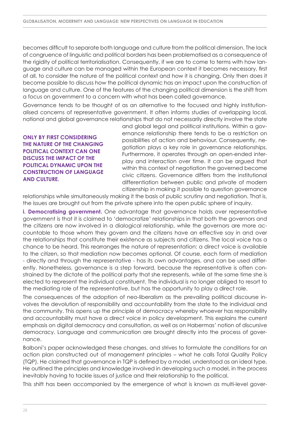becomes difficult to separate both language and culture from the political dimension. The lack of congruence of linguistic and political borders has been problematised as a consequence of the rigidity of political territorialisation. Consequently, if we are to come to terms with how language and culture can be managed within the European context it becomes necessary, first of all, to consider the nature of the political context and how it is changing. Only then does it become possible to discuss how the political dynamic has an impact upon the construction of language and culture. One of the features of the changing political dimension is the shift from a focus on government to a concern with what has been called governance.

Governance tends to be thought of as an alternative to the focused and highly institutionalised concerns of representative government. It often informs studies of overlapping local, national and global governance relationships that do not necessarily directly involve the state

**Only by first considering the nature of the changing political context can one discuss the impact of the political dynamic upon the construction of language and culture.**

and global legal and political institutions. Within a governance relationship there tends to be a restriction on possibilities of action and behaviour. Consequently, negotiation plays a key role in governance relationships. Furthermore, it operates through an open-ended interplay and interaction over time. It can be argued that within this context of negotiation the governed become civic citizens. Governance differs from the institutional differentiation between public and private of modern citizenship in making it possible to question governance

relationships while simultaneously making it the basis of public scrutiny and negotiation. That is, the issues are brought out from the private sphere into the open public sphere of inquiry.

**i. Democratising government.** One advantage that governance holds over representative government is that it is claimed to 'democratize' relationships in that both the governors and the citizens are now involved in a dialogical relationship, while the governors are more accountable to those whom they govern and the citizens have an effective say in and over the relationships that constitute their existence as subjects and citizens. The local voice has a chance to be heard. This rearranges the nature of representation: a direct voice is available to the citizen, so that mediation now becomes optional. Of course, each form of mediation - directly and through the representative - has its own advantages, and can be used differently. Nonetheless, governance is a step forward, because the representative is often constrained by the dictate of the political party that she represents, while at the same time she is elected to represent the individual constituent. The individual is no longer obliged to resort to the mediating role of the representative, but has the opportunity to play a direct role.

The consequences of the adoption of neo-liberalism as the prevailing political discourse involves the devolution of responsibility and accountability from the state to the individual and the community. This opens up the principle of democracy whereby whoever has responsibility and accountability must have a direct voice in policy development. This explains the current emphasis on digital democracy and consultation, as well as on Habermas' notion of discursive democracy. Language and communication are brought directly into the process of governance.

Balboni's paper acknowledged these changes, and strives to formulate the conditions for an action plan constructed out of management principles – what he calls Total Quality Policy (TQP). He claimed that governance in TQP is defined by a model, understood as an ideal type. He outlined the principles and knowledge involved in developing such a model, in the process inevitably having to tackle issues of justice and their relationship to the political.

This shift has been accompanied by the emergence of what is known as multi-level gover-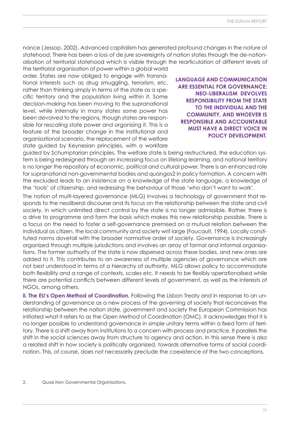nance (Jessop, 2002). Advanced capitalism has generated profound changes in the nature of statehood. There has been a loss of de jure sovereignty of nation states through the de-nationalisation of territorial statehood which is visible through the rearticulation of different levels of the territorial organisation of power within a global world

order. States are now obliged to engage with transnational interests such as drug smuggling, terrorism, etc. rather than thinking simply in terms of the state as a specific territory and the population living within it. Some decision-making has been moving to the supranational level, while internally in many states some power has been devolved to the regions, though states are responsible for rescaling state power and organising it. This is a feature of the broader change in the institutional and organisational scenario, the replacement of the welfare state guided by Keynesian principles, with a workfare

**Language and communication are essential for governance; neo-liberalism devolves responsibility from the state to the individual and the community, and whoever is responsible and accountable must have a direct voice in policy development.**

guided by Schumptarian principles. The welfare state is being restructured, the education system is being redesigned through an increasing focus on lifelong learning, and national territory is no longer the repository of economic, political and cultural power. There is an enhanced role for supranational non-governmental bodies and quangos2 in policy formation. A concern with the excluded leads to an insistence on a knowledge of the state language, a knowledge of the 'tools' of citizenship, and redressing the behaviour of those 'who don't want to work'.

The notion of multi-layered governance (MLG) involves a technology of government that responds to the neoliberal discourse and its focus on the relationship between the state and civil society, in which unlimited direct control by the state is no longer admissible. Rather, there is a drive to programme and form the basis which makes this new relationship possible. There is a focus on the need to foster a self-governance premised on a mutual relation between the individual as citizen, the local community and society writ large (Foucault, 1994). Locally constituted norms dovetail with the broader normative order of society. Governance is increasingly organized through multiple jurisdictions and involves an array of formal and informal organisations. The former authority of the state is now dispersed across these bodies, and new ones are added to it. This contributes to an awareness of multiple agencies of governance which are not best understood in terms of a hierarchy of authority. MLG allows policy to accommodate both flexibility and a range of contexts, scales etc. It needs to be flexibly operationalised while there are potential conflicts between different levels of government, as well as the interests of NGOs, among others.

**ii. The EU's Open Method of Coordination.** Following the Lisbon Treaty and in response to an understanding of governance as a new process of the governing of society that reconceives the relationship between the nation state, government and society the European Commission has initiated what it refers to as the Open Method of Coordination (OMC). It acknowledges that it is no longer possible to understand governance in simple unitary terms within a fixed form of territory. There is a shift away from institutions to a concern with process and practice. It parallels the shift in the social sciences away from structure to agency and action. In this sense there is also a related shift in how society is politically organized, towards alternative forms of social coordination. This, of course, does not necessarily preclude the coexistence of the two conceptions.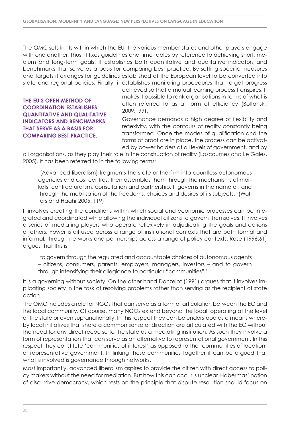The OMC sets limits within which the EU, the various member states and other players engage with one another. Thus, it fixes guidelines and time tables by reference to achieving short, medium and long-term goals. It establishes both quantitative and qualitative indicators and benchmarks that serve as a basis for comparing best practice. By setting specific measures and targets it arranges for guidelines established at the European level to be converted into state and regional policies. Finally, it establishes monitoring procedures that target progress

**The EU's Open Method of Coordination establishes quantitative and qualitative indicators and benchmarks that serve as a basis for comparing best practice.**

achieved so that a mutual learning process transpires. It makes it possible to rank organisations in terms of what is often referred to as a norm of efficiency (Boltanski, 2009:199).

Governance demands a high degree of flexibility and reflexivity, with the contours of reality constantly being transformed. Once the modes of qualification and the forms of proof are in place, the process can be activated by power holders at all levels of government, and by

all organisations, as they play their role in the construction of reality (Lascoumes and Le Gales, 2005). It has been referred to in the following terms:

'[Advanced liberalism] fragments the state or the firm into countless autonomous agencies and cost centres, then assembles them through the mechanisms of markets, contracturalism, consultation and partnership. It governs in the name of, and through the mobilisation of the freedoms, choices and desires of its subjects.' (Walters and Haahr 2005: 119)

It involves creating the conditions within which social and economic processes can be integrated and coordinated while allowing the individual citizens to govern themselves. It involves a series of mediating players who operate reflexively in adjudicating the goals and actions of others. Power is diffused across a range of institutional contexts that are both formal and informal, through networks and partnerships across a range of policy contexts. Rose (1996:61) argues that this is

'to govern through the regulated and accountable choices of autonomous agents – citizens, consumers, parents, employers, managers, investors – and to govern through intensifying their allegiance to particular "communities".'

It is a governing without society. On the other hand Donzelot (1991) argues that it involves implicating society in the task of resolving problems rather than serving as the recipient of state action.

The OMC includes a role for NGOs that can serve as a form of articulation between the EC and the local community. Of course, many NGOs extend beyond the local, operating at the level of the state or even supranationally. In this respect they can be understood as a means whereby local initiatives that share a common sense of direction are articulated with the EC without the need for any direct recourse to the state as a mediating institution. As such they involve a form of representation that can serve as an alternative to representational government. In this respect they constitute 'communities of interest' as opposed to the 'communities of location' of representative government. In linking these communities together it can be argued that what is involved is governance through networks.

Most importantly, advanced liberalism aspires to provide the citizen with direct access to policy makers without the need for mediation. But how this can occur is unclear. Habermas' notion of discursive democracy, which rests on the principle that dispute resolution should focus on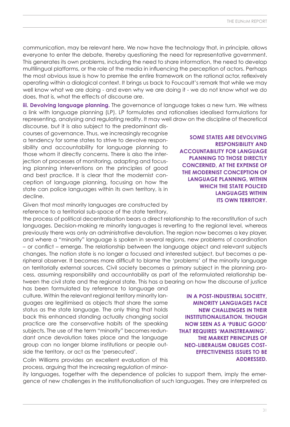communication, may be relevant here. We now have the technology that, in principle, allows everyone to enter the debate, thereby questioning the need for representative government. This generates its own problems, including the need to share information, the need to develop multilingual platforms, or the role of the media in influencing the perception of actors. Perhaps the most obvious issue is how to premise the entire framework on the rational actor, reflexively operating within a dialogical context. It brings us back to Foucault's remark that while we may well know what we are doing - and even why we are doing it - we do not know what we do does, that is, what the effects of discourse are.

**iii. Devolving language planning.** The governance of language takes a new turn. We witness a link with language planning (LP). LP formulates and rationalises idealised formulations for representing, analysing and regulating reality. It may well draw on the discipline of theoretical

discourse, but it is also subject to the predominant discourses of governance. Thus, we increasingly recognise a tendency for some states to strive to devolve responsibility and accountability for language planning to those whom it directly concerns. There is also the interjection of processes of monitoring, adapting and focusing planning interventions on the principles of good and best practice. It is clear that the modernist conception of language planning, focusing on how the state can police languages within its own territory, is in decline.

Given that most minority languages are constructed by reference to a territorial sub-space of the state territory,

the process of political decentralisation bears a direct relationship to the reconstitution of such languages. Decision-making re minority languages is reverting to the regional level, whereas previously there was only an administrative devolution. The region now becomes a key player, and where a "minority" language is spoken in several regions, new problems of coordination – or conflict – emerge. The relationship between the language object and relevant subjects changes. The nation state is no longer a focused and interested subject, but becomes a peripheral observer. It becomes more difficult to blame the 'problems' of the minority language on territorially external sources. Civil society becomes a primary subject in the planning process, assuming responsibility and accountability as part of the reformulated relationship between the civil state and the regional state. This has a bearing on how the discourse of justice

has been formulated by reference to language and culture. Within the relevant regional territory minority languages are legitimised as objects that share the same status as the state language. The only thing that holds back this enhanced standing actually changing social practice are the conservative habits of the speaking subjects. The use of the term "minority" becomes redundant once devolution takes place and the language group can no longer blame institutions or people outside the territory, or act as the 'persecuted'.

Colin Williams provides an excellent evaluation of this process, arguing that the increasing regulation of minor-

ity languages, together with the dependence of policies to support them, imply the emergence of new challenges in the institutionalisation of such languages. They are interpreted as

**Some states are devolving responsibility and accountability for language planning to those directly concerned, at the expense of the modernist conception of language planning, within which the state policed languages within its own territory.**

**In a post-industrial society, minority languages face new challenges in their institutionalisation. Though now seen as a 'public good' that requires 'mainstreaming'. the market principles of neo-liberalism obliges costeffectiveness issues to be addressed.**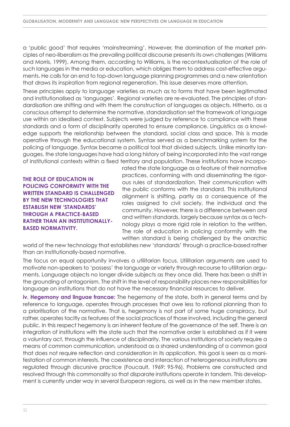a 'public good' that requires 'mainstreaming'. However, the domination of the market principles of neo-liberalism as the prevailing political discourse presents its own challenges (Williams and Morris, 1999). Among them, according to Williams, is the recontextualisation of the role of such languages in the media or education, which obliges them to address cost-effective arguments. He calls for an end to top-down language planning programmes and a new orientation that draws its inspiration from regional regeneration. This issue deserves more attention.

These principles apply to language varieties as much as to forms that have been legitimated and institutionalised as 'languages'. Regional varieties are re-evaluated. The principles of standardisation are shifting and with them the construction of languages as objects. Hitherto, as a conscious attempt to determine the normative, standardisation set the framework of language use within an idealised context. Subjects were judged by reference to compliance with these standards and a form of disciplinarity operated to ensure compliance. Linguistics as a knowledge supports the relationship between the standard, social class and space. This is made operative through the educational system. Syntax served as a benchmarking system for the policing of language. Syntax became a political tool that divided subjects. Unlike minority languages, the state languages have had a long history of being incorporated into the vast range of institutional contexts within a fixed territory and population. These institutions have incorpo-

**The role of education in policing conformity with the written standard is challenged by the new technologies that establish new 'standards' through a practice-based rather than an institutionallybased normativity.**

rated the state language as a feature of their normative practices, conforming with and disseminating the rigorous rules of standardization. Their communication with the public conforms with the standard. This institutional alignment is shifting, partly as a consequence of the roles assigned to civil society, the individual and the community. However, there is a difference between oral and written standards, largely because syntax as a technology plays a more rigid role in relation to the written. The role of education in policing conformity with the written standard is being challenged by the anarchic

world of the new technology that establishes new 'standards' through a practice-based rather than an institutionally-based normative.

The focus on equal opportunity involves a utilitarian focus. Utilitarian arguments are used to motivate non-speakers to 'possess' the language or variety through recourse to utilitarian arguments. Language objects no longer divide subjects as they once did. There has been a shift in the grounding of antagonism. The shift in the level of responsibility places new responsibilities for language on institutions that do not have the necessary financial resources to deliver.

**iv. Hegemony and linguae francae:** The hegemony of the state, both in general terms and by reference to language, operates through processes that owe less to rational planning than to a prioritisation of the normative. That is, hegemony is not part of some huge conspiracy, but rather, operates tacitly as features of the social practices of those involved, including the general public. In this respect hegemony is an inherent feature of the governance of the self. There is an integration of institutions with the state such that the normative order is established as if it were a voluntary act, through the influence of disciplinarity. The various institutions of society require a means of common communication, understood as a shared understanding of a common goal that does not require reflection and consideration in its application, this goal is seen as a manifestation of common interests. The coexistence and interaction of heterogeneous institutions are regulated through discursive practice (Foucault, 1969: 95-96). Problems are constructed and resolved through this commonality so that disparate institutions operate in tandem. This development is currently under way in several European regions, as well as in the new member states.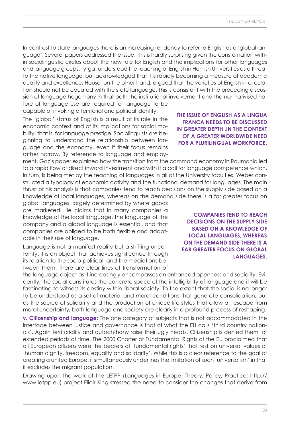In contrast to state languages there is an increasing tendency to refer to English as a 'global language'. Several papers addressed the issue. This is hardly surprising given the consternation within sociolinguistic circles about the new role for English and the implications for other languages and language groups. Tytgat understood the teaching of English in Flemish Universities as a threat to the native language, but acknowledged that it is rapidly becoming a measure of academic quality and excellence. House, on the other hand, argued that the varieties of English in circulation should not be equated with the state language. This is consistent with the preceding discussion of language hegemony in that both the institutional involvement and the normativised nature of language use are required for language to be

capable of invoking a territorial and political identity.

The 'global' status of English is a result of its role in the economic context and of its implications for social mobility, that is, for language prestige. Sociolinguists are beginning to understand the relationship between language and the economy, even if their focus remains rather narrow. By reference to language and employ-

ment, Gaz's paper explained how the transition from the command economy in Roumania led to a rapid flow of direct inward investment and with it a call for language competence which, in turn, is being met by the teaching of languages in all of the University faculties. Weber constructed a typology of economic activity and the functional demand for languages. The main thrust of his analysis is that companies tend to reach decisions on the supply side based on a knowledge of local languages, whereas on the demand side there is a far greater focus on

global languages, largely determined by where goods are marketed. He claims that in many companies a knowledge of the local language, the language of the company and a global language is essential, and that companies are obliged to be both flexible and adaptable in their use of language.

Language is not a manifest reality but a shifting uncertainty. It is an object that achieves significance through its relation to the socio-political, and the mediations between them. There are clear lines of transformation of

the language object as it increasingly encompasses an enhanced openness and sociality. Evidently, the social constitutes the concrete space of the intelligibility of language and it will be fascinating to witness its destiny within liberal society. To the extent that the social is no longer to be understood as a set of material and moral conditions that generate consolidation, but as the source of solidarity and the production of unique life styles that allow an escape from moral uncertainty, both language and society are clearly in a profound process of reshaping.

**v. Citizenship and language:** The one category of subjects that is not accommodated in the interface between justice and governance is that of what the EU calls 'third country nationals'. Again territoriality and autochthony raise their ugly heads. Citizenship is denied them for extended periods of time. The 2000 Charter of Fundamental Rights of the EU proclaimed that all European citizens were the bearers of 'fundamental rights' that rest on universal values of 'human dignity, freedom, equality and solidarity'. While this is a clear reference to the goal of creating a united Europe, it simultaneously underlines the limitation of such 'universalism' in that it excludes the migrant population.

Drawing upon the work of the LETPP (Languages in Europe: Theory, Policy, Practice; [http://](http://www.letpp.eu) [www.letpp.eu\) pr](http://www.letpp.eu)oject Elidir King stressed the need to consider the changes that derive from

### **The issue of English as a lingua franca needs to be discussed in greater depth ,in the context of a greater worldwide need for a plurilingual workforce.**

**Companies tend to reach decisions on the supply side based on a knowledge of local languages, whereas on the demand side there is a far greater focus on global languages.**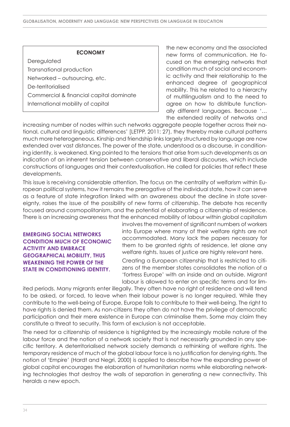### **ECONOMY**

**Deregulated** Transnational production Networked – outsourcing, etc. De-territorialised Commercial & financial capital dominate International mobility of capital

the new economy and the associated new forms of communication. He focused on the emerging networks that condition much of social and economic activity and their relationship to the enhanced degree of geographical mobility. This he related to a hierarchy of multilingualism and to the need to agree on how to distribute functionally different languages. Because '… the extended reality of networks and

increasing number of nodes within such networks aggregate people together across their national, cultural and linguistic differences' [LETPP, 2011: 27), they thereby make cultural patterns much more heterogeneous. Kinship and friendship links largely structured by language are now extended over vast distances. The power of the state, understood as a discourse, in conditioning identity, is weakened. King pointed to the tensions that arise from such developments as an indication of an inherent tension between conservative and liberal discourses, which include constructions of languages and their contextualisation. He called for policies that reflect these developments.

This issue is receiving considerable attention. The focus on the centrality of welfarism within European political systems, how it remains the prerogative of the individual state, how it can serve as a feature of state integration linked with an awareness about the decline in state sovereignty, raises the issue of the possibility of new forms of citizenship. The debate has recently focused around cosmopolitanism, and the potential of elaborating a citizenship of residence. There is an increasing awareness that the enhanced mobility of labour within global capitalism

**Emerging social networks condition much of economic activity and embrace geographical mobility, thus weakening the power of the state in conditioning identity.**

involves the movement of significant numbers of workers into Europe where many of their welfare rights are not accommodated. Many lack the papers necessary for them to be granted rights of residence, let alone any welfare rights. Issues of justice are highly relevant here.

Creating a European citizenship that is restricted to citizens of the member states consolidates the notion of a 'fortress Europe' with an inside and an outside. Migrant labour is allowed to enter on specific terms and for lim-

ited periods. Many migrants enter illegally. They often have no right of residence and will tend to be asked, or forced, to leave when their labour power is no longer required. While they contribute to the well-being of Europe, Europe fails to contribute to their well-being. The right to have rights is denied them. As non-citizens they often do not have the privilege of democratic participation and their mere existence in Europe can criminalise them. Some may claim they constitute a threat to security. This form of exclusion is not acceptable.

The need for a citizenship of residence is highlighted by the increasingly mobile nature of the labour force and the notion of a network society that is not necessarily grounded in any specific territory. A deterritorialised network society demands a rethinking of welfare rights. The temporary residence of much of the global labour force is no justification for denying rights. The notion of 'Empire' (Hardt and Negri, 2000) is applied to describe how the expanding power of global capital encourages the elaboration of humanitarian norms while elaborating networking technologies that destroy the walls of separation in generating a new connectivity. This heralds a new epoch.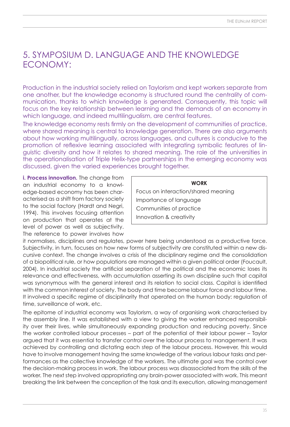### 5. Symposium D. Language and the Knowledge Economy:

Production in the industrial society relied on Taylorism and kept workers separate from one another, but the knowledge economy is structured round the centrality of communication, thanks to which knowledge is generated. Consequently, this topic will focus on the key relationship between learning and the demands of an economy in which language, and indeed multilingualism, are central features.

The knowledge economy rests firmly on the development of communities of practice, where shared meaning is central to knowledge generation. There are also arguments about how working multilingually, across languages, and cultures is conducive to the promotion of reflexive learning associated with integrating symbolic features of linguistic diversity and how it relates to shared meaning. The role of the universities in the operationalisation of Triple Helix-type partnerships in the emerging economy was discussed, given the varied experiences brought together.

**i. Process innovation.** The change from an industrial economy to a knowledge-based economy has been characterised as a shift from factory society to the social factory (Hardt and Negri, 1994). This involves focusing attention on production that operates at the level of power as well as subjectivity. The reference to power involves how

### **WORK**

Focus on interaction/shared meaning Importance of language Communities of practice Innovation & creativity

it normalises, disciplines and regulates, power here being understood as a productive force. Subjectivity, in turn, focuses on how new forms of subjectivity are constituted within a new discursive context. The change involves a crisis of the disciplinary regime and the consolidation of a biopolitical rule, or how populations are managed within a given political order (Foucault, 2004). In industrial society the artificial separation of the political and the economic loses its relevance and effectiveness, with accumulation asserting its own discipline such that capital was synonymous with the general interest and its relation to social class. Capital is identified with the common interest of society. The body and time become labour force and labour time. It involved a specific regime of disciplinarity that operated on the human body: regulation of time, surveillance of work, etc.

The epitome of industrial economy was Taylorism, a way of organising work characterised by the assembly line. It was established with a view to giving the worker enhanced responsibility over their lives, while simultaneously expanding production and reducing poverty. Since the worker controlled labour processes – part of the potential of their labour power – Taylor argued that it was essential to transfer control over the labour process to management. It was achieved by controlling and dictating each step of the labour process. However, this would have to involve management having the same knowledge of the various labour tasks and performances as the collective knowledge of the workers. The ultimate goal was the control over the decision-making process in work. The labour process was disassociated from the skills of the worker. The next step involved appropriating any brain-power associated with work. This meant breaking the link between the conception of the task and its execution, allowing management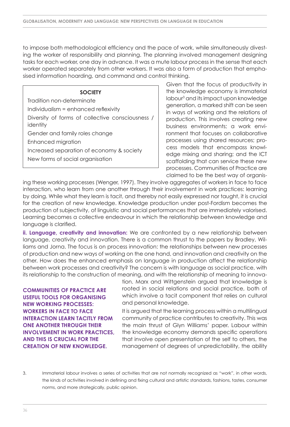to impose both methodological efficiency and the pace of work, while simultaneously divesting the worker of responsibility and planning. The planning involved management designing tasks for each worker, one day in advance. It was a mute labour process in the sense that each worker operated separately from other workers. It was also a form of production that emphasised information hoarding, and command and control thinking.

### **SOCIETY**

Tradition non-determinate Individualism = enhanced reflexivity Diversity of forms of collective consciousness / identity Gender and family roles change Enhanced migration Increased separation of economy & society

New forms of social organisation

Given that the focus of productivity in the knowledge economy is immaterial labour<sup>3</sup> and its impact upon knowledge generation, a marked shift can be seen in ways of working and the relations of production. This involves creating new business environments; a work environment that focuses on collaborative processes using shared resources; process models that encompass knowledge mixing and sharing; and the ICT scaffolding that can service these new processes. Communities of Practice are claimed to be the best way of organis-

ing these working processes (Wenger, 1997). They involve aggregates of workers in face to face interaction, who learn from one another through their involvement in work practices: learning by doing. While what they learn is tacit, and thereby not easily expressed nor taught, it is crucial for the creation of new knowledge. Knowledge production under post-Fordism becomes the production of subjectivity, of linguistic and social performances that are immediately valorised. Learning becomes a collective endeavour in which the relationship between knowledge and language is clarified.

**ii. Language, creativity and innovation:** We are confronted by a new relationship between language, creativity and innovation. There is a common thrust to the papers by Bradley, Williams and Jorna. The focus is on process innovation: the relationships between new processes of production and new ways of working on the one hand, and innovation and creativity on the other. How does the enhanced emphasis on language in production affect the relationship between work processes and creativity? The concern is with language as social practice, with its relationship to the construction of meaning, and with the relationship of meaning to innova-

**Communities of Practice are useful tools for organising new working processes: workers in face to face interaction learn tacitly from one another through their involvement in work practices, and this is crucial for the creation of new knowledge.**

tion. Marx and Wittgenstein argued that knowledge is rooted in social relations and social practice, both of which involve a tacit component that relies on cultural and personal knowledge.

It is argued that the learning process within a multilingual community of practice contributes to creativity. This was the main thrust of Glyn Williams' paper. Labour within the knowledge economy demands specific operations that involve open presentation of the self to others, the management of degrees of unpredictability, the ability

3. Immaterial labour involves a series of activities that are not normally recognized as "work", in other words, the kinds of activities involved in defining and fixing cultural and artistic standards, fashions, tastes, consumer norms, and more strategically, public opinion.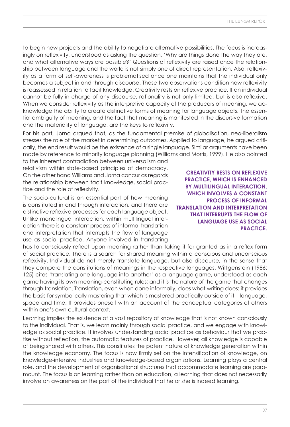to begin new projects and the ability to negotiate alternative possibilities. The focus is increasingly on reflexivity, understood as asking the question, 'Why are things done the way they are, and what alternative ways are possible?' Questions of reflexivity are raised once the relationship between language and the world is not simply one of direct representation. Also, reflexivity as a form of self-awareness is problematised once one maintains that the individual only becomes a subject in and through discourse. These two observations condition how reflexivity is reassessed in relation to tacit knowledge. Creativity rests on reflexive practice. If an individual cannot be fully in charge of any discourse, rationality is not only limited, but is also reflexive. When we consider reflexivity as the interpretive capacity of the producers of meaning, we acknowledge the ability to create distinctive forms of meaning for language objects. The essential ambiguity of meaning, and the fact that meaning is manifested in the discursive formation and the materiality of language, are the keys to reflexivity.

For his part, Jorna argued that, as the fundamental premise of globalisation, neo-liberalism stresses the role of the market in determining outcomes. Applied to language, he argued critically, the end result would be the existence of a single language. Similar arguments have been made by reference to minority language planning (Williams and Morris, 1999). He also pointed

to the inherent contradiction between universalism and relativism within state-based principles of democracy. On the other hand Williams and Jorna concur as regards the relationship between tacit knowledge, social practice and the role of reflexivity.

The socio-cultural is an essential part of how meaning is constituted in and through interaction, and there are distinctive reflexive processes for each language object. Unlike monolingual interaction, within multilingual interaction there is a constant process of informal translation and interpretation that interrupts the flow of language use as social practice. Anyone involved in translating

has to consciously reflect upon meaning rather than taking it for granted as in a reflex form of social practice. There is a search for shared meaning within a conscious and unconscious reflexivity. Individual do not merely translate language, but also discourse, in the sense that they compare the constitutions of meanings in the respective languages. Wittgenstein (1986: 125) cites 'translating one language into another' as a language game, understood as each game having its own meaning-constituting rules; and it is the nature of the game that changes through translation. Translation, even when done informally, does what writing does: it provides the basis for symbolically mastering that which is mastered practically outside of it – language, space and time. It provides oneself with an account of the conceptual categories of others within one's own cultural context.

Learning implies the existence of a vast repository of knowledge that is not known consciously to the individual. That is, we learn mainly through social practice, and we engage with knowledge as social practice. It involves understanding social practice as behaviour that we practise without reflection, the automatic features of practice. However, all knowledge is capable of being shared with others. This constitutes the potent nature of knowledge generation within the knowledge economy. The focus is now firmly set on the intensification of knowledge, on knowledge-intensive industries and knowledge-based organisations. Learning plays a central role, and the development of organisational structures that accommodate learning are paramount. The focus is on learning rather than on education, a learning that does not necessarily involve an awareness on the part of the individual that he or she is indeed learning.

**Creativity rests on reflexive practice, which is enhanced by multilingual interaction, which involves a constant process of informal translation and interpretation that interrupts the flow of language use as social practice.**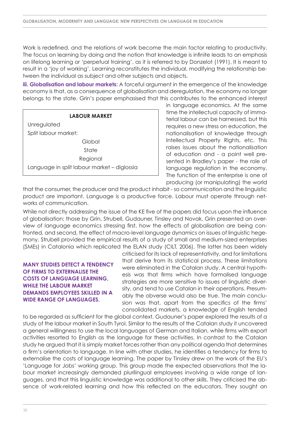Work is redefined, and the relations of work become the main factor relating to productivity. The focus on learning by doing and the notion that knowledge is infinite leads to an emphasis on lifelong learning or 'perpetual training', as it is referred to by Donzelot (1991). It is meant to result in a 'joy of working'. Learning reconstitutes the individual, modifying the relationship between the individual as subject and other subjects and objects.

**iii. Globalisation and labour markets:** A forceful argument in the emergence of the knowledge economy is that, as a consequence of globalisation and deregulation, the economy no longer belongs to the state. Grin's paper emphasised that this contributes to the enhanced interest

### **LABOUR MARKET**

**Unregulated** Split labour market: Global State Regional Language in split labour market – diglossia

in language economics. At the same time the intellectual capacity of immaterial labour can be harnessed, but this requires a new stress on education, the nationalisation of knowledge through Intellectual Property Rights, etc. This raises issues about the nationalisation of education and - a point well presented in Bradley's paper - the role of language regulation in the economy. The function of the enterprise is one of producing (or manipulating) the world

that the consumer, the producer and the product inhabit - so communication and the linguistic product are important. Language is a productive force. Labour must operate through networks of communication.

While not directly addressing the issue of the KE five of the papers did focus upon the influence of globalisation: those by Grin, Strubell, Gudauner, Tinsley and Novak. Grin presented an overview of language economics stressing first, how the effects of globalisation are being confronted, and second, the effect of macro-level language dynamics on issues of linguistic hegemony. Strubell provided the empirical results of a study of small and medium-sized enterprises (SMEs) in Catalonia which replicated the ELAN study (CILT, 2006). The latter has been widely

### **Many studies detect a tendency of firms to externalise the costs of language learning, while the labour market demands employees skilled in a wide range of languages.**

criticised for its lack of representativity, and for limitations that derive from its statistical process. These limitations were eliminated in the Catalan study. A central hypothesis was that firms which have formalised language strategies are more sensitive to issues of linguistic diversity, and tend to use Catalan in their operations. Presumably the obverse would also be true. The main conclusion was that, apart from the specifics of the firms' consolidated markets, a knowledge of English tended

to be regarded as sufficient for the global context. Gudauner's paper explored the results of a study of the labour market in South Tyrol. Similar to the results of the Catalan study it uncovered a general willingness to use the local languages of German and Italian, while firms with export activities resorted to English as the language for these activities. In contrast to the Catalan study he argued that it is simply market forces rather than any political agenda that determines a firm's orientation to language. In line with other studies, he identifies a tendency for firms to externalise the costs of language learning. The paper by Tinsley drew on the work of the EU's 'Language for Jobs' working group. This group made the expected observations that the labour market increasingly demanded plurilingual employees involving a wide range of languages, and that this linguistic knowledge was additional to other skills. They criticised the absence of work-related learning and how this reflected on the educators. They sought an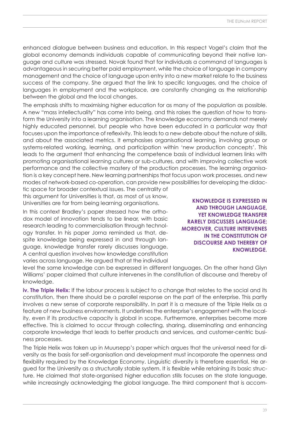enhanced dialogue between business and education. In this respect Vogel's claim that the global economy demands individuals capable of communicating beyond their native language and culture was stressed. Novak found that for individuals a command of languages is advantageous in securing better paid employment, while the choice of language in company management and the choice of language upon entry into a new market relate to the business success of the company. She argued that the link to specific languages, and the choice of languages in employment and the workplace, are constantly changing as the relationship between the global and the local changes.

The emphasis shifts to maximising higher education for as many of the population as possible. A new "mass intellectuality" has come into being, and this raises the question of how to transform the University into a learning organisation. The knowledge economy demands not merely highly educated personnel, but people who have been educated in a particular way that focuses upon the importance of reflexivity. This leads to a new debate about the nature of skills, and about the associated metrics. It emphasises organisational learning, involving group or systems-related working, learning, and participation within 'new production concepts'. This leads to the argument that enhancing the competence basis of individual learners links with promoting organisational learning cultures or sub-cultures, and with improving collective work performance and the collective mastery of the production processes. The learning organisation is a key concept here. New learning partnerships that focus upon work processes, and new modes of network-based co-operation, can provide new possibilities for developing the didac-

tic space for broader contextual issues. The centrality of this argument for Universities is that, as most of us know, Universities are far from being learning organisations.

In this context Bradley's paper stressed how the orthodox model of innovation tends to be linear, with basic research leading to commercialisation through technology transfer. In his paper Jorna reminded us that, despite knowledge being expressed in and through language, knowledge transfer rarely discusses language. A central question involves how knowledge constitution varies across language. He argued that at the individual

**Knowledge is expressed in and through language, yet knowledge transfer rarely discusses language; moreover, culture intervenes in the constitution of discourse and thereby of knowledge.**

level the same knowledge can be expressed in different languages. On the other hand Glyn Williams' paper claimed that culture intervenes in the constitution of discourse and thereby of knowledge.

**iv. The Triple Helix:** If the labour process is subject to a change that relates to the social and its constitution, then there should be a parallel response on the part of the enterprise. This partly involves a new sense of corporate responsibility. In part it is a measure of the Triple Helix as a feature of new business environments. It underlines the enterprise's engagement with the locality, even if its productive capacity is global in scope. Furthermore, enterprises become more effective. This is claimed to occur through collecting, sharing, disseminating and enhancing corporate knowledge that leads to better products and services, and customer-centric business processes.

The Triple Helix was taken up in Muursepp's paper which argues that the universal need for diversity as the basis for self-organisation and development must incorporate the openness and flexibility required by the Knowledge Economy. Linguistic diversity is therefore essential. He argued for the University as a structurally stable system. It is flexible while retaining its basic structure. He claimed that state-organised higher education stills focuses on the state language, while increasingly acknowledging the global language. The third component that is accom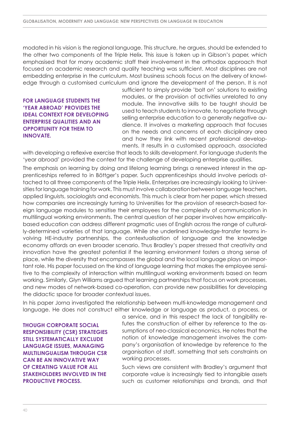modated in his vision is the regional language. This structure, he argues, should be extended to the other two components of the Triple Helix. This issue is taken up in Gibson's paper, which emphasised that for many academic staff their involvement in the orthodox approach that focused on academic research and quality teaching was sufficient. Most disciplines are not embedding enterprise in the curriculum. Most business schools focus on the delivery of knowledge through a customised curriculum and ignore the development of the person. It is not

### **For language students the 'year abroad' provides the ideal context for developing enterprise qualities and an opportunity for them to innovate.**

sufficient to simply provide 'bolt on' solutions to existing modules, or the provision of activities unrelated to any module. The innovative skills to be taught should be used to teach students to innovate, to negotiate through selling enterprise education to a generally negative audience. It involves a marketing approach that focuses on the needs and concerns of each disciplinary area and how they link with recent professional developments. It results in a customised approach, associated

with developing a reflexive exercise that leads to skills development. For language students the 'year abroad' provided the context for the challenge of developing enterprise qualities.

The emphasis on learning by doing and lifelong learning brings a renewed interest in the apprenticeships referred to in Böttger's paper. Such apprenticeships should involve periods attached to all three components of the Triple Helix. Enterprises are increasingly looking to Universities for language training for work. This must involve collaboration between language teachers, applied linguists, sociologists and economists. This much is clear from her paper, which stressed how companies are increasingly turning to Universities for the provision of research-based foreign language modules to sensitise their employees for the complexity of communication in multilingual working environments. The central question of her paper involves how empiricallybased education can address different pragmatic uses of English across the range of culturally-determined varieties of that language. While she underlined knowledge-transfer teams involving HE-industry partnerships, the contextualisation of language and the knowledge economy affords an even broader scenario. Thus Bradley's paper stressed that creativity and innovation have the greatest potential if the learning environment fosters a strong sense of place, while the diversity that encompasses the global and the local language plays an important role. His paper focussed on the kind of language learning that makes the employee sensitive to the complexity of interaction within multilingual working environments based on team working. Similarly, Glyn Williams argued that learning partnerships that focus on work processes, and new modes of network-based co-operation, can provide new possibilities for developing the didactic space for broader contextual issues.

In his paper Jorna investigated the relationship between multi-knowledge management and language. He does not construct either knowledge or language as product, a process, or

**Though corporate social responsibility (CSR) strategies still systematically exclude language issues, managing multilingualism through CSR can be an innovative way of creating value for all stakeholders involved in the productive process.**

a service, and in this respect the lack of tangibility refutes the construction of either by reference to the assumptions of neo-classical economics. He notes that the notion of knowledge management involves the company's organisation of knowledge by reference to the organisation of staff, something that sets constraints on working processes.

Such views are consistent with Bradley's argument that corporate value is increasingly tied to intangible assets such as customer relationships and brands, and that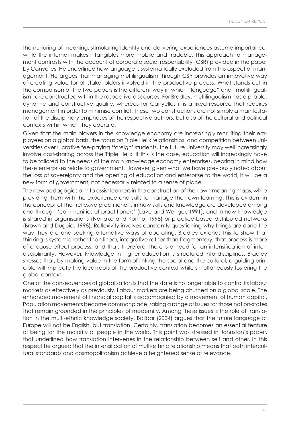the nurturing of meaning, stimulating identity and delivering experiences assume importance, while the internet makes intangibles more mobile and tradable. This approach to management contrasts with the account of corporate social responsibility (CSR) provided in the paper by Canyelles. He underlined how language is systematically excluded from this aspect of management. He argues that managing multilingualism through CSR provides an innovative way of creating value for all stakeholders involved in the productive process. What stands out in the comparison of the two papers is the different way in which "language" and "multilingualism" are constructed within the respective discourses. For Bradley, multilingualism has a pliable, dynamic and constructive quality, whereas for Canyelles it is a fixed resource that requires management in order to minimise conflict. These two constructions are not simply a manifestation of the disciplinary emphases of the respective authors, but also of the cultural and political contexts within which they operate.

Given that the main players in the knowledge economy are increasingly recruiting their employees on a global basis, the focus on Triple Helix relationships, and competition between Universities over lucrative fee-paying 'foreign' students, the future University may well increasingly involve cost-sharing across the Triple Helix. If this is the case, education will increasingly have to be tailored to the needs of the main knowledge economy enterprises, bearing in mind how these enterprises relate to government. However, given what we have previously noted about the loss of sovereignty and the opening of education and enterprise to the world, it will be a new form of government, not necessarily related to a sense of place.

The new pedagogies aim to assist learners in the construction of their own meaning maps, while providing them with the experience and skills to manage their own learning. This is evident in the concept of the 'reflexive practitioner', in how skills and knowledge are developed among and through 'communities of practitioners' (Lave and Wenger, 1991), and in how knowledge is shared in organisations (Nonaka and Konno, 1998) or practice-based distributed networks (Brown and Duguid, 1998). Reflexivity involves constantly questioning why things are done the way they are and seeking alternative ways of operating. Bradley extends this to show that thinking is systemic rather than linear, integrative rather than fragmentary, that process is more of a cause-effect process, and that, therefore, there is a need for an intensification of interdisciplinarity. However, knowledge in higher education is structured into disciplines. Bradley stresses that, by making value in the form of linking the social and the cultural, a guiding principle will implicate the local roots of the productive context while simultaneously fostering the global context.

One of the consequences of globalisation is that the state is no longer able to control its labour markets as effectively as previously. Labour markets are being churned on a global scale. The enhanced movement of financial capital is accompanied by a movement of human capital. Population movements become commonplace, raising a range of issues for those nation-states that remain grounded in the principles of modernity. Among these issues is the role of translation in the multi-ethnic knowledge society. Balibar (2004) argues that the future language of Europe will not be English, but translation. Certainly, translation becomes an essential feature of being for the majority of people in the world. This point was stressed in Johnston's paper, that underlined how translation intervenes in the relationship between self and other. In this respect he argued that the intensification of multi-ethnic relationship means that both intercultural standards and cosmopolitanism achieve a heightened sense of relevance.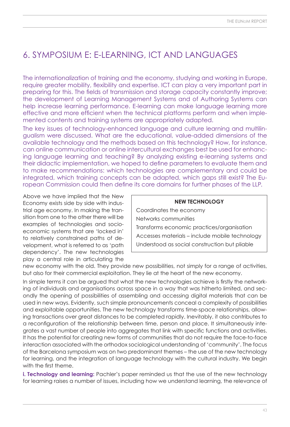# 6. Symposium E: E-Learning, ICT and Languages

The internationalization of training and the economy, studying and working in Europe, require greater mobility, flexibility and expertise. ICT can play a very important part in preparing for this. The fields of transmission and storage capacity constantly improve; the development of Learning Management Systems and of Authoring Systems can help increase learning performance. E-learning can make language learning more effective and more efficient when the technical platforms perform and when implemented contents and training systems are appropriately adapted.

The key issues of technology-enhanced language and culture learning and multilingualism were discussed. What are the educational, value-added dimensions of the available technology and the methods based on this technology? How, for instance, can online communication or online intercultural exchanges best be used for enhancing language learning and teaching? By analyzing existing e-learning systems and their didactic implementation, we hoped to define parameters to evaluate them and to make recommendations: which technologies are complementary and could be integrated, which training concepts can be adapted, which gaps still exist? The European Commission could then define its core domains for further phases of the LLP.

Above we have implied that the New Economy exists side by side with industrial age economy. In making the transition from one to the other there will be examples of technologies and socioeconomic systems that are 'locked in' to relatively constrained paths of development, what is referred to as 'path dependency'. The new technologies play a central role in articulating the

| <b>NEW TECHNOLOGY</b>                          |
|------------------------------------------------|
| Coordinates the economy                        |
| Networks communities                           |
| Transforms economic practices/organisation     |
| Accesses materials – include mobile technology |
| Understood as social construction but pliable  |

new economy with the old. They provide new possibilities, not simply for a range of activities, but also for their commercial exploitation. They lie at the heart of the new economy.

In simple terms it can be argued that what the new technologies achieve is firstly the networking of individuals and organisations across space in a way that was hitherto limited, and secondly the opening of possibilities of assembling and accessing digital materials that can be used in new ways. Evidently, such simple pronouncements conceal a complexity of possibilities and exploitable opportunities. The new technology transforms time-space relationships, allowing transactions over great distances to be completed rapidly. Inevitably, it also contributes to a reconfiguration of the relationship between time, person and place. It simultaneously integrates a vast number of people into aggregates that link with specific functions and activities. It has the potential for creating new forms of communities that do not require the face-to-face interaction associated with the orthodox sociological understanding of 'community'. The focus of the Barcelona symposium was on two predominant themes – the use of the new technology for learning, and the integration of language technology with the cultural industry. We begin with the first theme.

**i. Technology and learning:** Pachler's paper reminded us that the use of the new technology for learning raises a number of issues, including how we understand learning, the relevance of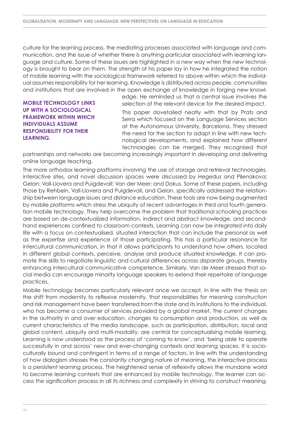culture for the learning process, the mediating processes associated with language and communication, and the issue of whether there is anything particular associated with learning language and culture. Some of these issues are highlighted in a new way when the new technology is brought to bear on them. The strength of his paper lay in how he integrated the notion of mobile learning with the sociological framework referred to above within which the individual assumes responsibility for her learning. Knowledge is distributed across people, communities and institutions that are involved in the open exchange of knowledge in forging new knowl-

**Mobile technology links up with a sociological framework within which individuals assume responsibility for their learning.**

edge. He reminded us that a central issue involves the selection of the relevant device for the desired impact.

This paper dovetailed neatly with that by Prats and Serra which focused on the Language Services section at the Autonomous University, Barcelona. They stressed the need for the section to adapt in line with new technological developments, and explained how different technologies can be merged. They recognised that

partnerships and networks are becoming increasingly important in developing and delivering online language teaching.

The more orthodox learning platforms involving the use of storage and retrieval technologies, interactive sites, and novel discussion spaces were discussed by Hegedus and Pšenakova; Gelan; Vall-Llovera and Puigdevall; Van der Meer; and Dokus. Some of these papers, including those by Rehbein, Vall-Llovera and Puigdevall, and Gelan, specifically addressed the relationship between language issues and distance education. These tools are now being augmented by mobile platforms which stress the ubiquity of recent advantages in third and fourth generation mobile technology. They help overcome the problem that traditional schooling practices are based on de-contextualized information, indirect and abstract knowledge, and secondhand experiences confined to classroom contexts. Learning can now be integrated into daily life with a focus on contextualised, situated interaction that can include the personal as well as the expertise and experience of those participating. This has a particular resonance for intercultural communication, in that it allows participants to understand how others, located in different global contexts, perceive, analyse and produce situated knowledge. It can promote the skills to negotiate linguistic and cultural differences across disparate groups, thereby enhancing intercultural communicative competence. Similarly, Van de Meer stressed that social media can encourage minority language speakers to extend their repertoire of language practices.

Mobile technology becomes particularly relevant once we accept, in line with the thesis on the shift from modernity to reflexive modernity, that responsibilities for meaning construction and risk management have been transferred from the state and its institutions to the individual, who has become a consumer of services provided by a global market. The current changes in the authority in and over education, changes to consumption and production, as well as current characteristics of the media landscape, such as participation, distribution, local and global content, ubiquity and multi-modality, are central for conceptualising mobile learning. Learning is now understood as the process of 'coming to know', and 'being able to operate successfully in and across' new and ever-changing contexts and learning spaces. It is socioculturally bound and contingent in terms of a range of factors. In line with the understanding of how dialogism stresses the constantly changing nature of meaning, the interactive process is a persistent learning process. The heightened sense of reflexivity allows the mundane world to become learning contexts that are enhanced by mobile technology. The learner can access the signification process in all its richness and complexity in striving to construct meaning.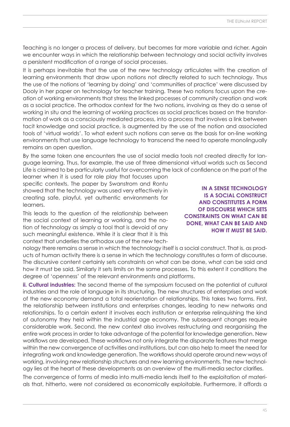Teaching is no longer a process of delivery, but becomes far more variable and richer. Again we encounter ways in which the relationship between technology and social activity involves a persistent modification of a range of social processes.

It is perhaps inevitable that the use of the new technology articulates with the creation of learning environments that draw upon notions not directly related to such technology. Thus the use of the notions of 'learning by doing' and 'communities of practice' were discussed by Dooly in her paper on technology for teacher training. These two notions focus upon the creation of working environments that stress the linked processes of community creation and work as a social practice. The orthodox context for the two notions, involving as they do a sense of working in situ and the learning of working practices as social practices based on the transformation of work as a consciously mediated process, into a process that involves a link between tacit knowledge and social practice, is augmented by the use of the notion and associated tools of 'virtual worlds'. To what extent such notions can serve as the basis for on-line working environments that use language technology to transcend the need to operate monolingually remains an open question.

By the same token one encounters the use of social media tools not created directly for language learning. Thus, for example, the use of three dimensional virtual worlds such as Second Life is claimed to be particularly useful for overcoming the lack of confidence on the part of the

learner when it is used for role play that focuses upon specific contexts. The paper by Swanstrom and Rontu showed that the technology was used very effectively in creating safe, playful, yet authentic environments for learners.

This leads to the question of the relationship between the social context of learning or working, and the notion of technology as simply a tool that is devoid of any such meaningful existence. While it is clear that it is this context that underlies the orthodox use of the new tech-

nology there remains a sense in which the technology itself is a social construct. That is, as products of human activity there is a sense in which the technology constitutes a form of discourse. The discursive content certainly sets constraints on what can be done, what can be said and how it must be said. Similarly it sets limits on the same processes. To this extent it conditions the degree of 'openness' of the relevant environments and platforms.

**ii. Cultural industries:** The second theme of the symposium focused on the potential of cultural industries and the role of language in its structuring. The new structures of enterprises and work of the new economy demand a total reorientation of relationships. This takes two forms. First, the relationship between institutions and enterprises changes, leading to new networks and relationships. To a certain extent it involves each institution or enterprise relinquishing the kind of autonomy they held within the industrial age economy. The subsequent changes require considerable work. Second, the new context also involves restructuring and reorganising the entire work process in order to take advantage of the potential for knowledge generation. New workflows are developed. These workflows not only integrate the disparate features that merge within the new convergence of activities and institutions, but can also help to meet the need for integrating work and knowledge generation. The workflows should operate around new ways of working, involving new relationship structures and new learning environments. The new technology lies at the heart of these developments as an overview of the multi-media sector clarifies.

The convergence of forms of media into multi-media lends itself to the exploitation of materials that, hitherto, were not considered as economically exploitable. Furthermore, it affords a

**In a sense technology is a social construct and constitutes a form of discourse which sets constraints on what can be done, what can be said and how it must be said.**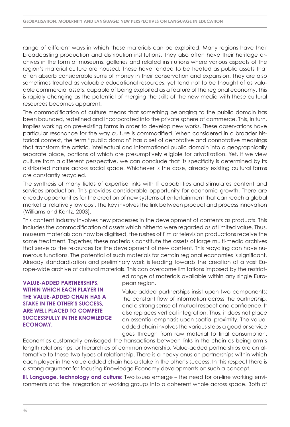range of different ways in which these materials can be exploited. Many regions have their broadcasting production and distribution institutions. They also often have their heritage archives in the form of museums, galleries and related institutions where various aspects of the region's material culture are housed. These have tended to be treated as public assets that often absorb considerable sums of money in their conservation and expansion. They are also sometimes treated as valuable educational resources, yet tend not to be thought of as valuable commercial assets, capable of being exploited as a feature of the regional economy. This is rapidly changing as the potential of merging the skills of the new media with these cultural resources becomes apparent.

The commodification of culture means that something belonging to the public domain has been bounded, redefined and incorporated into the private sphere of commerce. This, in turn, implies working on pre-existing forms in order to develop new works. These observations have particular resonance for the way culture is commodified. When considered in a broader historical context, the term "public domain" has a set of denotative and connotative meanings that transform the artistic, intellectual and informational public domain into a geographically separate place, portions of which are presumptively eligible for privatization. Yet, if we view culture from a different perspective, we can conclude that its specificity is determined by its distributed nature across social space. Whichever is the case, already existing cultural forms are constantly recycled.

The synthesis of many fields of expertise links with IT capabilities and stimulates content and services production. This provides considerable opportunity for economic growth. There are already opportunities for the creation of new systems of entertainment that can reach a global market at relatively low cost. The key involves the link between product and process innovation (Williams and Kentz, 2003).

This content industry involves new processes in the development of contents as products. This includes the commodification of assets which hitherto were regarded as of limited value. Thus, museum materials can now be digitised, the rushes of film or television productions receive the same treatment. Together, these materials constitute the assets of large multi-media archives that serve as the resources for the development of new content. This recycling can have numerous functions. The potential of such materials for certain regional economies is significant. Already standardisation and preliminary work is leading towards the creation of a vast Europe-wide archive of cultural materials. This can overcome limitations imposed by the restrict-

**Value-added partnerships, within which each player in the value-added chain has a stake in the other's success, are well placed to compete successfully in the Knowledge Economy.**

ed range of materials available within any single European region.

Value-added partnerships insist upon two components: the constant flow of information across the partnership, and a strong sense of mutual respect and confidence. It also replaces vertical integration. Thus, it does not place an essential emphasis upon spatial proximity. The valueadded chain involves the various steps a good or service goes through from raw material to final consumption.

Economics customarily envisaged the transactions between links in the chain as being arm's length relationships, or hierarchies of common ownership. Value-added partnerships are an alternative to these two types of relationship. There is a heavy onus on partnerships within which each player in the value-added chain has a stake in the other's success. In this respect there is a strong argument for focusing Knowledge Economy developments on such a concept.

**iii. Language, technology and culture:** Two issues emerge – the need for on-line working environments and the integration of working groups into a coherent whole across space. Both of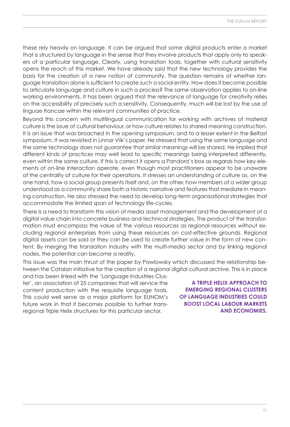these rely heavily on language. It can be argued that some digital products enter a market that is structured by language in the sense that they involve products that apply only to speakers of a particular language. Clearly, using translation tools, together with cultural sensitivity opens the reach of this market. We have already said that the new technology provides the basis for the creation of a new notion of community. The question remains of whether language translation alone is sufficient to create such a social entity. How does it become possible to articulate language and culture in such a process? The same observation applies to on-line working environments. It has been argued that the relevance of language for creativity relies on the accessibility of precisely such a sensitivity. Consequently, much will be lost by the use of linguae francae within the relevant communities of practice.

Beyond this concern with multilingual communication for working with archives of material culture is the issue of cultural behaviour, or how culture relates to shared meaning construction. It is an issue that was broached in the opening symposium, and to a lesser extent in the Belfast symposium. It was revisited in Linnar Viik's paper. He stressed that using the same language and the same technology does not guarantee that similar meanings will be shared. He implied that different kinds of practices may well lead to specific meanings being interpreted differently, even within the same culture. If this is correct it opens a Pandora's box as regards how key elements of on-line interaction operate, even though most practitioners appear to be unaware of the centrality of culture for their operations. It stresses an understanding of culture as, on the one hand, how a social group presents itself and, on the other, how members of a wider group understood as a community share both a historic narrative and features that mediate in meaning construction. He also stressed the need to develop long-term organisational strategies that accommodate the limited span of technology life-cycles.

There is a need to transform this vision of media asset management and the development of a digital value chain into concrete business and technical strategies. The product of the transformation must encompass the value of the various resources as regional resources without excluding regional enterprises from using these resources on cost-effective grounds. Regional digital assets can be sold or they can be used to create further value in the form of new content. By merging the translation industry with the multi-media sector and by linking regional nodes, the potential can become a reality.

This issue was the main thrust of the paper by Pawlowsky which discussed the relationship between the Catalan initiative for the creation of a regional digital cultural archive. This is in place

and has been linked with the 'Language Industries Cluster', an association of 25 companies that will service the content production with the requisite language tools. This could well serve as a major platform for EUNOM's future work in that it becomes possible to further transregional Triple Helix structures for this particular sector.

**A Triple Helix approach to emerging regional clusters of language industries could boost local labour markets and economies.**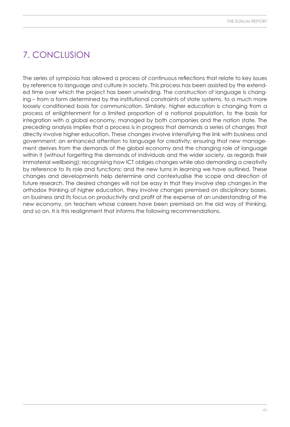# 7. Conclusion

The series of symposia has allowed a process of continuous reflections that relate to key issues by reference to language and culture in society. This process has been assisted by the extended time over which the project has been unwinding. The construction of language is changing – from a form determined by the institutional constraints of state systems, to a much more loosely conditioned basis for communication. Similarly, higher education is changing from a process of enlightenment for a limited proportion of a national population, to the basis for integration with a global economy, managed by both companies and the nation state. The preceding analysis implies that a process is in progress that demands a series of changes that directly involve higher education. These changes involve intensifying the link with business and government; an enhanced attention to language for creativity; ensuring that new management derives from the demands of the global economy and the changing role of language within it (without forgetting the demands of individuals and the wider society, as regards their immaterial wellbeing); recognising how ICT obliges changes while also demanding a creativity by reference to its role and functions; and the new turns in learning we have outlined. These changes and developments help determine and contextualise the scope and direction of future research. The desired changes will not be easy in that they involve step changes in the orthodox thinking of higher education, they involve changes premised on disciplinary bases, on business and its focus on productivity and profit at the expense of an understanding of the new economy, on teachers whose careers have been premised on the old way of thinking, and so on. It is this realignment that informs the following recommendations.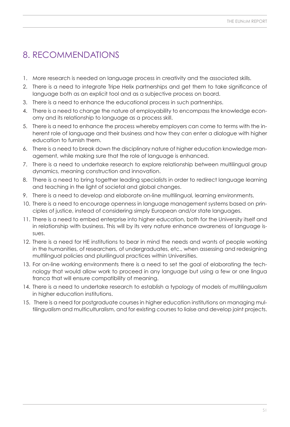# 8. Recommendations

- 1. More research is needed on language process in creativity and the associated skills.
- 2. There is a need to integrate Tripe Helix partnerships and get them to take significance of language both as an explicit tool and as a subjective process on board.
- 3. There is a need to enhance the educational process in such partnerships.
- 4. There is a need to change the nature of employability to encompass the knowledge economy and its relationship to language as a process skill.
- 5. There is a need to enhance the process whereby employers can come to terms with the inherent role of language and their business and how they can enter a dialogue with higher education to furnish them.
- 6. There is a need to break down the disciplinary nature of higher education knowledge management, while making sure that the role of language is enhanced.
- 7. There is a need to undertake research to explore relationship between multilingual group dynamics, meaning construction and innovation.
- 8. There is a need to bring together leading specialists in order to redirect language learning and teaching in the light of societal and global changes.
- 9. There is a need to develop and elaborate on-line multilingual, learning environments.
- 10. There is a need to encourage openness in language management systems based on principles of justice, instead of considering simply European and/or state languages.
- 11. There is a need to embed enterprise into higher education, both for the University itself and in relationship with business. This will by its very nature enhance awareness of language issues.
- 12. There is a need for HE institutions to bear in mind the needs and wants of people working in the humanities, of researchers, of undergraduates, etc., when assessing and redesigning multilingual policies and plurilingual practices within Universities.
- 13. For on-line working environments there is a need to set the goal of elaborating the technology that would allow work to proceed in any language but using a few or one lingua franca that will ensure compatibility of meaning.
- 14. There is a need to undertake research to establish a typology of models of multilingualism in higher education institutions.
- 15. There is a need for postgraduate courses in higher education institutions on managing multilingualism and multiculturalism, and for existing courses to liaise and develop joint projects.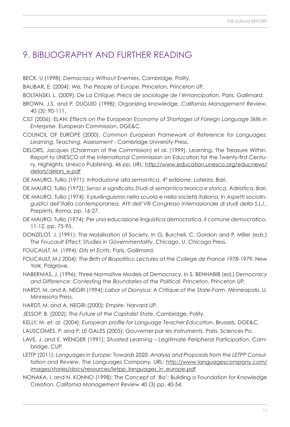# 9. Bibliography and further reading

BECK, U (1998); *Democracy Without Enemies.* Cambridge, Polity.

BALIBAR, E. (2004); *We, The People of Europe.* Princeton, Princeton UP.

BOLTANSKI, L. (2009); *De La Critique: Précis de sociologie de l'émancipation.* Paris, Gallimard.

- BROWN, J.S. and P. DUGUID (1998); Organizing knowledge. *California Management Review*, 40 (3): 90-111.
- CILT (2006); ELAN: *Effects on the European Economy of Shortages of Foreign Language Skills in Enterprise.* European Commission, DGE&C.
- COUNCIL OF EUROPE (2000). *Common European Framework of Reference for Languages: Learning, Teaching, Assessment* - Cambridge University Press.
- DELORS, Jacques (Chairman of the Commission) et al. (1999). Learning. The Treasure Within. Report to UNESCO of the International Commission on Education for the Twenty-first Centu[ry. Highlights. Unesco Publishing. 46 pp. URL: http://www.education.unesco.org/educnews/](http://www.education.unesco.org/educnews/delors/delors_e.pdf) delors/delors\_e.pdf

DE MAURO, Tullio (1971); *Introduzione alla semantica*, 4ª edizione, Laterza, Bari.

DE MAURO, Tullio (1972); *Senso e significato.Studi di semantica teorica e storica*, Adriatica, Bari.

- DE MAURO, Tullio (1974); ll plurilinguismo nella scuola e nella società italiana, in *Aspetti sociolinguistici dell'Italia contemporanea, Atti dell'VIII Congresso internazionale di studi della S.L.I.*, Preprints, Roma, pp. 16-27.
- DE MAURO, Tullio (1974); Per una educazione linguistica democratica, *Il comune democratico*, 11-12, pp. 75-95.
- DONZELOT, J. (1991); The Mobilisation of Society. In G. Burchell, C. Gordon and P. Miller (eds.) *The Foucault Effect: Studies in Governmentality*. Chicago, U. Chicago Press.
- FOUCAULT, M. (1994); *Dits et Ecrits*. Paris, Gallimard.
- FOUCAULT, M.( 2004); *The Birth of Biopolitics: Lectures at the College de France 1978-1979*. New York, Palgrave.
- HABERMAS, J. (1996); Three Normative Models of Democracy. In S. BENHABIB (ed.) *Democracy and Difference: Contesting the Boundaries of the Political*. Princeton, Princeton UP.
- HARDT, M. and A. NEGRI (1994); *Labor of Dionysus: A Critique of the State-Form*. Minneapolis, U. Minnesota Press.
- HARDT, M. and A. NEGRI (2000); *Empire*. Harvard UP.
- JESSOP, B. (2002); *The Future of the Capitalist State*. Cambridge, Polity.
- KELLY, M. et. al. (2004); *European profile for Language Teacher Education*. Brussels, DGE&C.
- LAUSCOMES, P. and P. LE GALES (2005); *Gouverner par les Instruments*. Paris, Sciences Po.
- LAVE, J. and E. WENGER (1991); *Situated Learning Legitimate Peripheral Participation*. Cambridge, CUP.
- LETTP (2011); *Languages in Europe: Towards 2020. Analysis and Proposals from the LETPP Consultation and Review*[, The Languages Company. URL: http://www.languagescompany.com/](http://www.languagescompany.com/images/stories/docs/resources/letpp_languages_in_europe.pdf) images/stories/docs/resources/letpp\_languages\_in\_europe.pdf
- NONAKA, I. and N. KONNO (1998); The Concept of 'Ba': Building a Foundation for Knowledge Creation. *California Management Review* 40 (3) pp. 40-54.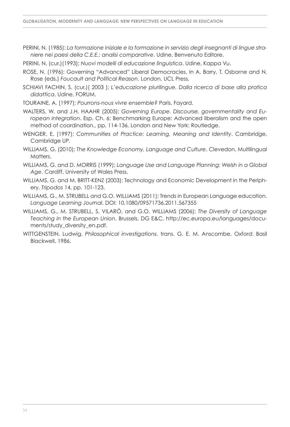PERINI, N. (1985); *La formazione iniziale e la formazione in servizio degli insegnanti di lingue straniere nei paesi della C.E.E.: analisi comparative*. Udine, Benvenuto Editore.

PERINI, N. (cur.)(1993); *Nuovi modelli di educazione linguistica*. Udine, Kappa Vu.

- ROSE, N. (1996); Governing "Advanced" Liberal Democracies. In A. Barry, T. Osborne and N. Rose (eds.) *Foucault and Political Reason*. London, UCL Press.
- SCHIAVI FACHIN, S. (cur.)( 2003 ); *L'educazione plurilingue. Dalla ricerca di base alla pratica didattica*. Udine, FORUM.

TOURAINE, A. [1997); *Pourrons-nous vivre ensemble?* Paris, Fayard.

- WALTERS, W. and J.H. HAAHR (2005); *Governing Europe. Discourse, governmentality and European integration*. Esp. Ch. 6: Benchmarking Europe: Advanced liberalism and the open method of coordination., pp. 114-136. London and New York: Routledge.
- WENGER, E. (1997); *Communities of Practice: Learning, Meaning and Identity*. Cambridge, Cambridge UP.

WILLIAMS, G. (2010); *The Knowledge Economy, Language and Culture*. Clevedon, Multilingual Matters.

- WILLIAMS, G. and D. MORRIS (1999); *Language Use and Language Planning: Welsh in a Global Age*. Cardiff, University of Wales Press.
- WILLIAMS, G. and M. BRITT-KENZ (2003); Technology and Economic Development in the Periphery. *Tripodos* 14, pp. 101-123.
- WILLIAMS, G., M. STRUBELL and G.O. WILLIAMS (2011); Trends in European Language education. *Language Learning Journal*. DOI: 10.1080/09571736.2011.567355
- WILLIAMS, G., M. STRUBELL, S. VILARÓ, and G.O. WILLIAMS (2006); *The Diversity of Language Teaching in the European Union*[. Brussels, DG E&C.](http://ec.europa.eu/languages/documents/study_diversity_en.pdf) [http://ec.europa.eu/languages/d](http://ec.europa.eu/languages/docu-ments/study_diversity_en.pdf)[ocu](http://ec.europa.eu/languages/documents/study_diversity_en.pdf)ments/study\_diversity\_en.pdf.
- WITTGENSTEIN, Ludwig. *Philosophical investigations*, trans. G. E. M. Anscombe. Oxford: Basil Blackwell, 1986.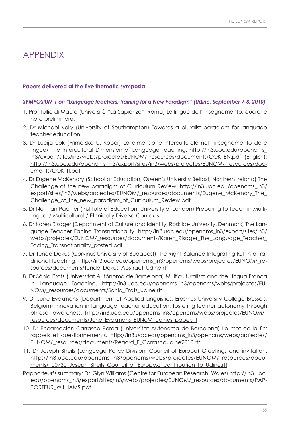### Appendix

### **Papers delivered at the five thematic symposia**

### *SYMPOSIUM 1 on "Language teachers: Training for a New Paradigm" (Udine, September 7-8, 2010)*

- 1. Prof Tullio di Mauro (Università "La Sapienza", Roma) Le lingue dell' insegnamento: qualche nota preliminare.
- 2. Dr Michael Kelly (University of Southampton) Towards a pluralist paradigm for language teacher education.
- 3. Dr Lucija Čok (Primorska U. Koper) La dimensione interculturale nell' insegnamento delle lingue/ The Intercultural Dimension of Language Teaching. [http://in3.uoc.edu/opencms\\_](http://in3.uoc.edu/opencms_in3/export/sites/in3/webs/projectes/EUNOM/_resources/documents/COK_EN.pd) [in3/export/sites/in3/webs/projectes/EUNOM/\\_resources/documents/COK\\_EN.pdf](http://in3.uoc.edu/opencms_in3/export/sites/in3/webs/projectes/EUNOM/_resources/documents/COK_EN.pd) (English); [http://in3.uoc.edu/opencms\\_in3/export/sites/in3/webs/projectes/EUNOM/\\_resources/d](http://in3.uoc.edu/opencms_in3/export/sites/in3/webs/projectes/EUNOM/_resources/doc-uments/CO)[oc](http://in3.uoc.edu/opencms_in3/export/sites/in3/webs/projectes/EUNOM/_resources/documents/COK_IT.pdf)uments[/COK](http://in3.uoc.edu/opencms_in3/export/sites/in3/webs/projectes/EUNOM/_resources/doc-uments/CO)\_IT.pdf
- 4. Dr Eugene McKendry (School of Education, Queen's University Belfast, Northern Ireland) The Challenge of the new paradigm of Curriculum Review. [http://in3.uoc.edu/opencms\\_in3/](http://in3.uoc.edu/opencms_in3/) [export/sites/in3/webs/projectes/EUNOM/\\_resources/documents/Eugene\\_McKendry\\_The\\_](http://in3.uoc.edu/opencms_in3/export/sites/in3/webs/projectes/EUNOM/_resources/documents/Eugene_McKendry_The_Challenge_of_the_new_paradigm_of_Curriculum_Review.pdf) Challenge of the new paradigm of Curriculum Review.pdf
- 5. Dr Norman Pachler (Institute of Education, University of London) Preparing to Teach in Multilingual / Multicultural / Ethnically Diverse Contexts.
- 6. Dr Karen Risager (Department of Culture and Identity, Roskilde University, Denmark) The Language Teacher Facing Transnationality. [http://in3.uoc.edu/opencms\\_in3/export/sites/in3/](http://in3.uoc.edu/opencms_in3/export/sites/in3/webs/projectes/EUNOM/_resources/documents/Karen_Risager_The_Language_Teacher_Facing_Transnationality_posted.pdf) [webs/projectes/EUNOM/\\_resources/documents/Karen\\_Risager\\_The\\_Language\\_Teacher\\_](http://in3.uoc.edu/opencms_in3/export/sites/in3/webs/projectes/EUNOM/_resources/documents/Karen_Risager_The_Language_Teacher_Facing_Transnationality_posted.pdf) Facing Transnationality posted.pdf
- 7. Dr Tünde Dökus (Corvinus University of Budapest) The Right Balance Integrating ICT into Tra[ditional Teaching.](http://in3.uoc.edu/opencms_in3/opencms/webs/projectes/EUNOM/_resources/documents/Tunde_Dokus_Abstract_Udine.rtf) [http://in3.uoc.edu/opencms\\_in3/opencms/webs/projectes/EUNOM/\\_re](http://in3.uoc.edu/opencms_in3/opencms/webs/projectes/EUNOM/_re-sources/documents/Tunde_Dokus_Abstract_Udine.rtf)sources[/documents/Tunde\\_Dokus\\_Abstract\\_Udine.rtf](http://in3.uoc.edu/opencms_in3/opencms/webs/projectes/EUNOM/_re-sources/documents/Tunde_Dokus_Abstract_Udine.rtf)
- 8. Dr Sònia Prats (Universitat Autònoma de Barcelona) Multiculturalism and the Lingua Franca [in Language Teaching.](http://in3.uoc.edu/opencms_in3/opencms/webs/projectes/EUNOM/_resources/documents/Sonia_Prats_Udine.rtf) http://in3.uoc.edu/opencms in3/opencms/webs/projectes/E[U-](http://in3.uoc.edu/opencms_in3/opencms/webs/projectes/EUNOM/_resources/documents/Sonia_Prats_Udine.rtf)NOM/[\\_resources/documents/Sonia\\_Prats\\_Udine.rtf](http://in3.uoc.edu/opencms_in3/opencms/webs/projectes/EUNOM/_resources/documents/Sonia_Prats_Udine.rtf)
- 9. Dr June Eyckmans (Department of Applied Linguistics, Erasmus University College Brussels, Belgium) Innovation in language teacher education: fostering learner autonomy through phrasal awareness. http://in3.uoc.edu/opencms in3/opencms/webs/projectes/EUNOM/ [resources/documents/June\\_Eyckmans\\_EUNoM\\_Udines\\_paper.rtf](http://in3.uoc.edu/opencms_in3/opencms/webs/projectes/EUNOM/_resources/documents/June_Eyckmans_EUNoM_Udines_paper.rtf)
- 10. Dr Encarnación Carrasco Perea (Universitat Autònoma de Barcelona) Le mot de la fin: rappels et questionnements. http://in3.uoc.edu/opencms in3/opencms/webs/projectes/ [EUNOM/\\_resources/documents/Regard\\_E\\_CarrascoUdine2010.rtf](http://in3.uoc.edu/opencms_in3/opencms/webs/projectes/EUNOM/_resources/documents/Regard_E_CarrascoUdine2010.rtf)
- 11. Dr Joseph Sheils (Language Policy Division, Council of Europe) Greetings and invitation. [http://in3.uoc.edu/opencms\\_in3/opencms/webs/projectes/EUNOM/\\_resources/d](http://in3.uoc.edu/opencms_in3/opencms/webs/projectes/EUNOM/_resources/docu-ments/100730_Joseph_Sheils_Council_of_Europexs_contribution_to_Udine.rtf)[ocu-](http://in3.uoc.edu/opencms_in3/opencms/webs/projectes/EUNOM/_resources/documents/100730_Joseph_Sheils_Council_of_Europexs_contribution_to_Udine.rtf)ments[/100730\\_Joseph\\_Sheils\\_Council\\_of\\_Europexs\\_contribution\\_to\\_Udine.rtf](http://in3.uoc.edu/opencms_in3/opencms/webs/projectes/EUNOM/_resources/docu-ments/100730_Joseph_Sheils_Council_of_Europexs_contribution_to_Udine.rtf)

Rapporteur's summary: Dr. Glyn Williams (Centre for European Research, Wales) [http://in3.uoc.](http://in3.uoc.edu/opencms_in3/export/sites/in3/webs/projectes/EUNOM/_resources/documents/RAPPORTEUR_WILLIAMS.pdf) [edu/opencms\\_in3/export/sites/in3/webs/projectes/EUNOM/\\_resources/documents/RAP-](http://in3.uoc.edu/opencms_in3/export/sites/in3/webs/projectes/EUNOM/_resources/documents/RAPPORTEUR_WILLIAMS.pdf)[PORTEUR\\_WILLIAMS.pdf](http://in3.uoc.edu/opencms_in3/export/sites/in3/webs/projectes/EUNOM/_resources/documents/RAPPORTEUR_WILLIAMS.pdf)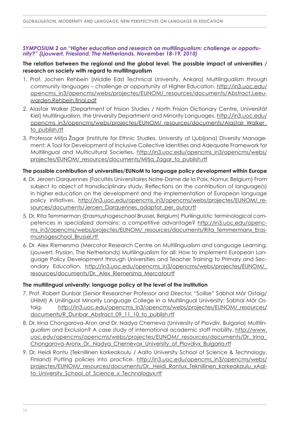#### *SYMPOSIUM 2 on "Higher education and research on multilingualism: challenge or opportunity?" (Ljouwert, Friesland, The Netherlands, November 18-19, 2010)*

### **The relation between the regional and the global level. The possible impact of universities / research on society with regard to multilingualism**

- 1. Prof. Jochen Rehbein (Middle East Technical University, Ankara) Multilingualism through community languages – challenge or opportunity of Higher Education. [http://in3.uoc.edu/](http://in3.uoc.edu/opencms_in3/opencms/webs/projectes/EUNOM/_resources/documents/Abstract.Leeuwarden.Rehbein.final.pdf) [opencms\\_in3/opencms/webs/projectes/EUNOM/\\_resources/documents/Abstract.Leeu](http://in3.uoc.edu/opencms_in3/opencms/webs/projectes/EUNOM/_resources/documents/Abstract.Leeuwarden.Rehbein.final.pdf)warden.Rehbein.final.pdf
- 2. Alastair Walker (Department of Frisian Studies / North Frisian Dictionary Centre, Universität Kiel) Multilingualism, the University Department and Minority Languages. [http://in3.uoc.edu/](http://in3.uoc.edu/opencms_in3/opencms/webs/projectes/EUNOM/_resources/documents/Alastair_Walker_to_publish.rtf) [opencms\\_in3/opencms/webs/projectes/EUNOM/\\_resources/documents/Alastair\\_Walker\\_](http://in3.uoc.edu/opencms_in3/opencms/webs/projectes/EUNOM/_resources/documents/Alastair_Walker_to_publish.rtf) to\_publish.rtf
- 3. Professor Mitja Žagar (Institute for Ethnic Studies, University of Ljubljana) Diversity Management: A Tool for Development of Inclusive Collective Identities and Adequate Framework for Multilingual and Multicultural Societies. [http://in3.uoc.edu/opencms\\_in3/opencms/webs/](http://in3.uoc.edu/opencms_in3/opencms/webs/projectes/EUNOM/_resources/documents/Mitja_Zagar_to_publish.rtf) [projectes/EUNOM/\\_resources/documents/Mitja\\_Zagar\\_to\\_publish.rtf](http://in3.uoc.edu/opencms_in3/opencms/webs/projectes/EUNOM/_resources/documents/Mitja_Zagar_to_publish.rtf)

### **The possible contribution of universities/EUNoM to language policy development within Europe**

- 4. Dr. Jeroen Darquennes (Facultés Universitaires Notre-Dame de la Paix, Namur, Belgium) From subject to object of transdisciplinary study. Reflections on the contribution of language(s) in higher education on the development and the implementation of European language [policy initiatives.](http://in3.uoc.edu/opencms_in3/opencms/webs/projectes/EUNOM/_resources/documents/Jeroen_Darquennes_adaptat_per_autor.rtf) [http://in3.uoc.edu/opencms\\_in3/opencms/webs/projectes/EUNOM/\\_re](http://in3.uoc.edu/opencms_in3/opencms/webs/projectes/EUNOM/_re-sources/documents/Jeroen_Darquennes_adaptat_per_autor.rtf)[sources/](http://in3.uoc.edu/opencms_in3/opencms/webs/projectes/EUNOM/_resources/documents/Jeroen_Darquennes_adaptat_per_autor.rtf)[documents/Jeroen\\_Darquennes\\_adaptat\\_per\\_autor.rtf](http://in3.uoc.edu/opencms_in3/opencms/webs/projectes/EUNOM/_re-sources/documents/Jeroen_Darquennes_adaptat_per_autor.rtf)
- 5. Dr. Rita Temmerman (Erasmushogeschool Brussel, Belgium) Plurilinguistic terminological com[petences in specialized domains: a competitive advantage? http://in3.uoc.edu/openc](http://in3.uoc.edu/opencms_in3/opencms/webs/projectes/EUNOM/_resources/documents/Rita_Temmermanx_Erasmushogeschool_Brussel.rtf)[ms\\_in3/opencms/webs/projectes/EUNOM/\\_resources/documents/Rita\\_Temmermanx\\_Eras](http://in3.uoc.edu/openc-ms_in3/opencms/webs/projectes/EUNOM/_resources/documents/Rita_Temmermanx_Eras-mushogeschool_Brussel.rtf)[mushogeschool\\_Brussel.rtf](http://in3.uoc.edu/opencms_in3/opencms/webs/projectes/EUNOM/_resources/documents/Rita_Temmermanx_Erasmushogeschool_Brussel.rtf)
- 6. Dr. Alex Riemersma (Mercator Research Centre on Multilingualism and Language Learning, Ljouwert, Fryslan, The Netherlands) Multilingualism for all: How to implement European Language Policy Development through Universities and Teacher Training to Primary and Secondary Education. http://in3.uoc.edu/opencms in3/opencms/webs/projectes/EUNOM/ [resources/documents/Dr.\\_Alex\\_Riemersma\\_Mercator.rtf](http://in3.uoc.edu/opencms_in3/opencms/webs/projectes/EUNOM/_resources/documents/Dr._Alex_Riemersma_Mercator.rtf)

### **The multilingual university: language policy at the level of the institution**

- 7. Prof. Robert Dunbar (Senior Researcher Professor and Director, "Soillse" Sabhal Mòr Ostaig/ UHIMI) A Unilingual Minority Language College in a Multilingual University: Sabhal Mòr Ostaig. http://in3.uoc.edu/opencms in3/opencms/webs/projectes/EUNOM/ resources/ [documents/R\\_Dunbar\\_Abstract\\_09\\_11\\_10\\_to\\_publish.rtf](http://in3.uoc.edu/opencms_in3/opencms/webs/projectes/EUNOM/_resources/documents/R_Dunbar_Abstract_09_11_10_to_publish.rtf)
- 8. Dr. Irina Chongarova-Aron and Dr. Nadya Cherneva (University of Plovdiv, Bulgaria) Multilingualism and Exclusion? A case study of international academic staff mobility. [http://www.](http://www.uoc.edu/opencms/opencms/webs/projectes/EUNOM/_resources/documents/Dr._Irina_Chongarova-Aronx_Dr._Nadya_Chernevax_University_of_Plovdivx_Bulgaria.rtf) [uoc.edu/opencms/opencms/webs/projectes/EUNOM/\\_resources/documents/Dr.\\_Irina\\_](http://www.uoc.edu/opencms/opencms/webs/projectes/EUNOM/_resources/documents/Dr._Irina_Chongarova-Aronx_Dr._Nadya_Chernevax_University_of_Plovdivx_Bulgaria.rtf) Chongarova-Aronx\_Dr.\_Nadya\_Chernevax\_University\_of\_Plovdivx\_Bulgaria.rtf
- 9. Dr. Heidi Rontu (Teknillinen korkeakoulu / Aalto University School of Science & Technology, Finland) Putting policies into practice. http://in3.uoc.edu/opencms in3/opencms/webs/ [projectes/EUNOM/\\_resources/documents/Dr.\\_Heidi\\_Rontux\\_Teknillinen\\_korkeakoulu\\_xAal](http://in3.uoc.edu/opencms_in3/opencms/webs/projectes/EUNOM/_resources/documents/Dr._Heidi_Rontux_Teknillinen_korkeakoulu_xAalto_University_School_of_Science_x_Technologyx.rtf)to University School of Science x Technologyx.rtf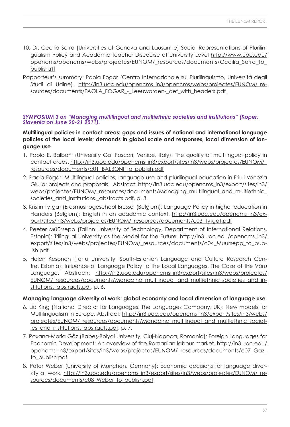- 10. Dr. Cecilia Serra (Universities of Geneva and Lausanne) Social Representations of Plurilingualism Policy and Academic Teacher Discourse at University Level [http://www.uoc.edu/](http://www.uoc.edu/opencms/opencms/webs/projectes/EUNOM/_resources/documents/Cecilia_Serra_to_publish.rtf) [opencms/opencms/webs/projectes/EUNOM/\\_resources/documents/Cecilia\\_Serra\\_to\\_](http://www.uoc.edu/opencms/opencms/webs/projectes/EUNOM/_resources/documents/Cecilia_Serra_to_publish.rtf) publish.rtf
- Rapporteur's summary: Paola Fogar (Centro Internazionale sul Plurilinguismo, Università degli [Studi di Udine\).](http://in3.uoc.edu/opencms_in3/opencms/webs/projectes/EUNOM/_resources/documents/PAOLA_FOGAR_-_Leeuwarden-_def_with_headers.pdf) [http://in3.uoc.edu/opencms\\_in3/opencms/webs/projectes/EUNOM/\\_re](http://in3.uoc.edu/opencms_in3/opencms/webs/projectes/EUNOM/_re-sources/57)sources/documents/PAOLA\_FOGAR\_-\_Leeuwarden-\_def\_with\_headers.pdf

### *SYMPOSIUM 3 on "Managing multilingual and multiethnic societies and institutions" (Koper, Slovenia on June 20-21 2011).*

### **Multilingual policies in contact areas: gaps and issues of national and international language policies at the local levels; demands in global scale and responses, local dimension of language use**

- 1. Paolo E. Balboni (University Ca' Foscari, Venice, Italy): The quality of multilingual policy in contact areas. [http://in3.uoc.edu/opencms\\_in3/export/sites/in3/webs/projectes/EUNOM/\\_](http://in3.uoc.edu/opencms_in3/export/sites/in3/webs/projectes/EUNOM/_resources/documents/c01_BALBONI_to_publish.pdf) [resources/documents/c01\\_BALBONI\\_to\\_publish.pdf](http://in3.uoc.edu/opencms_in3/export/sites/in3/webs/projectes/EUNOM/_resources/documents/c01_BALBONI_to_publish.pdf)
- 2. Paola Fogar: Multilingual policies, language use and plurilingual education in Friuli-Venezia Giulia: projects and proposals. Abstract: [http://in3.uoc.edu/opencms\\_in3/export/sites/in3/](http://in3.uoc.edu/opencms_in3/export/sites/in3/webs/projectes/EUNOM/_resources/documents/Managing_multilingual_and_multiethnic_societies_and_institutions._abstracts.pdf) webs/projectes/EUNOM/\_resources/documents/Managing\_multilingual\_and\_multiethnic societies and institutions. abstracts.pdf, p. 3.
- 3. Kristin Tytgat (Erasmushogeschool Brussel (Belgium): Language Policy in higher education in [Flanders \(Belgium\): English in an academic context.](http://in3.uoc.edu/opencms_in3/export/sites/in3/webs/projectes/EUNOM/_resources/documents/c03_Tytgat.pdf) [http://in3.uoc.edu/opencms\\_in3/e](http://in3.uoc.edu/opencms_in3/ex-port/sites/in3/webs/projectes/EUNOM/_resources/documents/c03_Tytgat.pdf)[x](http://in3.uoc.edu/opencms_in3/export/sites/in3/webs/projectes/EUNOM/_resources/documents/c03_Tytgat.pdf)port/[sites/in3/webs/projectes/EUNOM/\\_resources/documents/c03\\_Tytgat.pdf](http://in3.uoc.edu/opencms_in3/ex-port/sites/in3/webs/projectes/EUNOM/_resources/documents/c03_Tytgat.pdf)
- 4. Peeter Müürsepp (Tallinn University of Technology, Department of International Relations, Estonia): Trilingual University as the Model for the Future. [http://in3.uoc.edu/opencms\\_in3/](http://in3.uoc.edu/opencms_in3/export/sites/in3/webs/projectes/EUNOM/_resources/documents/c04_Muursepp_to_publish.pdf) [export/sites/in3/webs/projectes/EUNOM/\\_resources/documents/c04\\_Muursepp\\_to\\_pub](http://in3.uoc.edu/opencms_in3/export/sites/in3/webs/projectes/EUNOM/_resources/documents/c04_Muursepp_to_publish.pdf)lish.pdf
- 5. Helen Kesonen (Tartu University, South-Estonian Language and Culture Research Centre, Estonia): Influence of Language Policy to the Local Languages. The Case of the Võru Language. Abstractr: [http://in3.uoc.edu/opencms\\_in3/export/sites/in3/webs/projectes/](http://in3.uoc.edu/opencms_in3/export/sites/in3/webs/projectes/EUNOM/_resources/documents/Managing_multilingual_and_multiethnic_societies_and_institutions._abstracts.pdf) EUNOM/ resources/documents/Managing multilingual and multiethnic societies and institutions. abstracts.pdf, p. 6.

### **Managing language diversity at work: global economy and local dimension of language use**

- 6. Lid King (National Director for Languages, The Languages Company, UK): New models for Multilingualism in Europe. Abstract: [http://in3.uoc.edu/opencms\\_in3/export/sites/in3/webs/](http://in3.uoc.edu/opencms_in3/export/sites/in3/webs/projectes/EUNOM/_resources/documents/Managing_multilingual_and_multiethnic_societies_and_institutions._abstracts.pdf) [projectes/EUNOM/\\_resources/documents/Managing\\_multilingual\\_and\\_multiethnic\\_societ](http://in3.uoc.edu/opencms_in3/export/sites/in3/webs/projectes/EUNOM/_resources/documents/Managing_multilingual_and_multiethnic_societies_and_institutions._abstracts.pdf)ies\_and\_institutions.\_abstracts.pdf, p. 7.
- 7. Roxana-Maria Gâz (Babeş-Bolyai University, Cluj-Napoca, Romania): Foreign Languages for Economic Development: An overview of the Romanian labour market. [http://in3.uoc.edu/](http://in3.uoc.edu/opencms_in3/export/sites/in3/webs/projectes/EUNOM/_resources/documents/c07_Gaz_to_publish.pdf) [opencms\\_in3/export/sites/in3/webs/projectes/EUNOM/\\_resources/documents/c07\\_Gaz\\_](http://in3.uoc.edu/opencms_in3/export/sites/in3/webs/projectes/EUNOM/_resources/documents/c07_Gaz_to_publish.pdf) to\_publish.pdf
- 8. Peter Weber (University of München, Germany): Economic decisions for language diver[sity at work. http://in3.uoc.edu/opencms\\_in3/export/sites/in3/webs/projectes/EUNOM/\\_re](http://in3.uoc.edu/opencms_in3/export/sites/in3/webs/projectes/EUNOM/_resources/documents/c08_Weber_to_publish.pdf)sources[/documents/c08\\_Weber\\_to\\_publish.pdf](http://in3.uoc.edu/opencms_in3/export/sites/in3/webs/projectes/EUNOM/_re-sources/documents/c08_Weber_to_publish.pdf)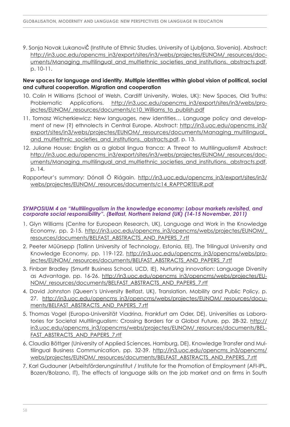9. Sonja Novak LukanoviČ (Institute of Ethnic Studies, University of Ljubljana, Slovenia). Abstract: [http://in3.uoc.edu/opencms\\_in3/export/sites/in3/webs/projectes/EUNOM/\\_resources/do](http://in3.uoc.edu/opencms_in3/export/sites/in3/webs/projectes/EUNOM/_resources/doc-uments/Managing_multilingual_and_multiethnic_societies_and_institutions._abstracts.pdf)cuments/Managing\_multilingual\_and\_multiethnic\_societies\_and\_institutions.\_abstracts.pdf, p. 10-11.

### **New spaces for language and identity. Multiple identities within global vision of political, social and cultural cooperation. Migration and cooperation**

- 10. Colin H Williams (School of Welsh, Cardiff University, Wales, UK): New Spaces, Old Truths: [Problematic Applications. http://in3.uoc.edu/opencms\\_in3/export/sites/in3/webs/pro-](http://in3.uoc.edu/opencms_in3/export/sites/in3/webs/projectes/EUNOM/_resources/documents/c10_Williams_to_publish.pdf)jectes/[EUNOM/\\_resources/documents/c10\\_Williams\\_to\\_publish.pdf](http://in3.uoc.edu/opencms_in3/export/sites/in3/webs/pro-jectes/EUNOM/_resources/documents/c10_Williams_to_publish.pdf)
- 11. Tomasz Wicherkiewicz: New languages, new identities… Language policy and development of new (?) ethnolects in Central Europe. Abstract: http://in3.uoc.edu/opencms\_in3/ [export/sites/in3/webs/projectes/EUNOM/\\_resources/documents/Managing\\_multilingual\\_](http://in3.uoc.edu/opencms_in3/export/sites/in3/webs/projectes/EUNOM/_resources/documents/Managing_multilingual_and_multiethnic_societies_and_institutions._abstracts.pdf) and multiethnic societies and institutions. abstracts.pdf, p. 13.
- 12. Juliane House: English as a global lingua franca: A Threat to Multilingualism? Abstract: [http://in3.uoc.edu/opencms\\_in3/export/sites/in3/webs/projectes/EUNOM/\\_resources/do](http://in3.uoc.edu/opencms_in3/export/sites/in3/webs/projectes/EUNOM/_resources/doc-uments/Managing_multilingual_and_multiethnic_societies_and_institutions._abstracts.pdf)cuments/Managing\_multilingual\_and\_multiethnic\_societies\_and\_institutions.\_abstracts.pdf, p. 14.
- Ra[pporteur's summary: Dónall Ó Riágain. http://in3.uoc.edu/opencms\\_in3/export/sites/in3/](http://in3.uoc.edu/opencms_in3/export/sites/in3/webs/projectes/EUNOM/_resources/documents/c14_RAPPORTEUR.pdf) webs/projectes/EUNOM/\_resources/documents/c14\_RAPPORTEUR.pdf

#### *SYMPOSIUM 4 on "Multilingualism in the knowledge economy: Labour markets revisited, and corporate social responsibility". (Belfast, Northern Ireland (UK) (14-15 November, 2011)*

- 1. Glyn Williams (Centre for European Research, UK), Language and Work in the Knowledge Economy, pp. 2-15. http://in3.uoc.edu/opencms in3/opencms/webs/projectes/EUNOM/ resources/documents/BELFAST\_ABSTRACTS\_AND\_PAPERS\_7.rtf
- 2. Peeter Müürsepp (Tallinn University of Technology, Estonia, EE), The Trilingual University and Knowledge Economy, pp. 119-122. http://in3.uoc.edu/opencms in3/opencms/webs/pro[jectes/EUNOM/\\_resources/documents/BELFAST\\_ABSTRACTS\\_AND\\_PAPERS\\_7.rtf](http://in3.uoc.edu/opencms_in3/opencms/webs/projectes/EUNOM/_resources/documents/BELFAST_ABSTRACTS_AND_PAPERS_7.rtf)
- 3. Finbarr Bradley (Smurfit Business School, UCD, IE), Nurturing innovation: Language Diversity as Advantage, [pp. 16-26.](http://in3.uoc.edu/opencms_in3/opencms/webs/projectes/EUNOM/_resources/documents/BELFAST_ABSTRACTS_AND_PAPERS_7.rtf) [http://in3.uoc.edu/opencms\\_in3/opencms/webs/projectes/E](http://in3.uoc.edu/opencms_in3/opencms/webs/projectes/EU-NOM/_resources/documents/BEL)[U-](http://in3.uoc.edu/opencms_in3/opencms/webs/projectes/EUNOM/_resources/documents/BELFAST_ABSTRACTS_AND_PAPERS_7.rtf)NOM/\_resources/documents/BELFAST\_ABSTRACTS\_AND\_PAPERS\_7.rtf
- 4. David Johnston (Queen's University Belfast, UK), Translation, Mobility and Public Policy, p. [27. h](http://in3.uoc.edu/opencms_in3/opencms/webs/projectes/EUNOM/_resources/documents/BELFAST_ABSTRACTS_AND_PAPERS_7.rtf)[ttp://in3.uoc.edu/opencms\\_in3/opencms/webs/projectes/EUNOM/\\_resources/d](http://in3.uoc.edu/opencms_in3/opencms/webs/projectes/EUNOM/_resources/docu-ments/BEL)[ocu](http://in3.uoc.edu/opencms_in3/opencms/webs/projectes/EUNOM/_resources/documents/BELFAST_ABSTRACTS_AND_PAPERS_7.rtf)ments[/BELF](http://in3.uoc.edu/opencms_in3/opencms/webs/projectes/EUNOM/_resources/docu-ments/BEL)AST\_ABSTRACTS\_AND\_PAPERS\_7.rtf
- 5. Thomas Vogel (Europa-Universität Viadrina, Frankfurt am Oder, DE), Universities as Laboratories for Societal Multilingualism: Crossing Borders for a Global Future, pp. 28-32. http:// [in3.uoc.edu/opencms\\_in3/opencms/webs/projectes/EUNOM/\\_resources/documents/BEL-](http://in3.uoc.edu/opencms_in3/opencms/webs/projectes/EUNOM/_resources/documents/BELFAST_ABSTRACTS_AND_PAPERS_7.rtf)FAST\_ABSTRACTS\_AND\_PAPERS\_7.rtf
- 6. Claudia Böttger (University of Applied Sciences, Hamburg, DE), Knowledge Transfer and Multilingual Business Communication, pp. 32-39. http://in3.uoc.edu/opencms in3/opencms/ webs/projectes/EUNOM/\_resources/documents/BELFAST\_ABSTRACTS\_AND\_PAPERS\_7.rtf
- 7. Karl Gudauner (Arbeitsförderungsinstitut / Institute for the Promotion of Employment (AFI-IPL, Bozen/Bolzano, IT), The effects of language skills on the job market and on firms in South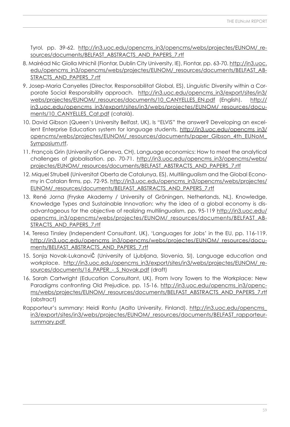[Tyrol, pp. 39-62.](http://in3.uoc.edu/opencms_in3/opencms/webs/projectes/EUNOM/_resources/documents/BELFAST_ABSTRACTS_AND_PAPERS_7.rtf) [http://in3.uoc.edu/opencms\\_in3/opencms/webs/projectes/EUNOM/\\_re](http://in3.uoc.edu/opencms_in3/opencms/webs/projectes/EUNOM/_re-sources/59)sources/documents/BELFAST\_ABSTRACTS\_AND\_PAPERS\_7.rtf

- 8. Mairéad Nic Giolla Mhichíl (Fiontar, Dublin City University, IE), Fiontar, pp. 63-70. http://in3.uoc. [edu/opencms\\_in3/opencms/webs/projectes/EUNOM/\\_resources/documents/BELFAST\\_AB-](http://in3.uoc.edu/opencms_in3/opencms/webs/projectes/EUNOM/_resources/documents/BELFAST_ABSTRACTS_AND_PAPERS_7.rtf)STRACTS\_AND\_PAPERS\_7.rtf
- 9. Josep-Maria Canyelles (Director, Responsabilitat Global, ES), Linguistic Diversity within a Corporate Social Responsibility approach. http://in3.uoc.edu/opencms\_in3/export/sites/in3/ webs/projectes/EUNOM/\_resources/documents/10\_CANYELLES\_EN.pdf (English), [http://](http://in3.uoc.edu/opencms_in3/export/sites/in3/webs/projectes/EUNOM/_resources/docu-ments/10_CA) [in3.uoc.edu/opencms\\_in3/export/sites/in3/webs/projectes/EUNOM/\\_resources/d](http://in3.uoc.edu/opencms_in3/export/sites/in3/webs/projectes/EUNOM/_resources/docu-ments/10_CA)[ocu](http://in3.uoc.edu/opencms_in3/export/sites/in3/webs/projectes/EUNOM/_resources/documents/10_CANYELLES_EN.pdf (English),  http://in3.uoc.edu/opencms_in3/export/sites/in3/webs/projectes/EUNOM/_resources/documents/10_CANYELLES_Cat.pdf)ments/10 CANYELLES Cat.pdf (català).
- 10. David Gibson (Queen's University Belfast, UK), Is "ELVIS" the answer? Developing an excel[lent Enterprise Education system for language students. http://in3.uoc.edu/opencms\\_in3/](http://in3.uoc.edu/opencms_in3/opencms/webs/projectes/EUNOM/_resources/documents/paper_Gibson_4th_EUNoM_Symposium.rtf) opencms/webs/projectes/EUNOM/\_resources/documents/paper\_Gibson\_4th\_EUNoM\_ Symposium.rtf.
- 11. François Grin (University of Geneva, CH), Language economics: How to meet the analytical [challenges of globalisation. pp. 70-71. http://in3.uoc.edu/opencms\\_in3/opencms/webs/](http://in3.uoc.edu/opencms_in3/opencms/webs/projectes/EUNOM/_resources/documents/BELFAST_ABSTRACTS_AND_PAPERS_7.rtf) projectes/EUNOM/\_resources/documents/BELFAST\_ABSTRACTS\_AND\_PAPERS\_7.rtf
- 12. Miquel Strubell (Universitat Oberta de Catalunya, ES), Multilingualism and the Global Econo[my in Catalan firms, pp. 72-95. http://in3.uoc.edu/opencms\\_in3/opencms/webs/projectes/](http://in3.uoc.edu/opencms_in3/opencms/webs/projectes/EUNOM/_resources/documents/BELFAST_ABSTRACTS_AND_PAPERS_7.rtf) EUNOM/\_resources/documents/BELFAST\_ABSTRACTS\_AND\_PAPERS\_7.rtf
- 13. René Jorna (Fryske Akademy / University of Gröningen, Netherlands, NL), Knowledge, Knowledge Types and Sustainable Innovation: why the idea of a global economy is disadvantageous for the objective of realizing multilingualism, pp. 95-119 http://in3.uoc.edu/ [opencms\\_in3/opencms/webs/projectes/EUNOM/\\_resources/documents/BELFAST\\_AB-](http://in3.uoc.edu/opencms_in3/opencms/webs/projectes/EUNOM/_resources/documents/BELFAST_ABSTRACTS_AND_PAPERS_7.rtf)STRACTS\_AND\_PAPERS\_7.rtf
- 14. Teresa Tinsley (Independent Consultant, UK), 'Languages for Jobs' in the EU, pp. 116-119. [http://in3.uoc.edu/opencms\\_in3/opencms/webs/projectes/EUNOM/\\_resources/d](http://in3.uoc.edu/opencms_in3/opencms/webs/projectes/EUNOM/_resources/docu-ments/BEL)[ocu](http://in3.uoc.edu/opencms_in3/opencms/webs/projectes/EUNOM/_resources/documents/BELFAST_ABSTRACTS_AND_PAPERS_7.rtf)ments/BELFAST\_ABSTRACTS\_AND\_PAPERS\_7.rtf
- 15. Sonja Novak-LukanoviČ (University of Ljubljana, Slovenia, SI), Language education and [workplace. h](http://in3.uoc.edu/opencms_in3/export/sites/in3/webs/projectes/EUNOM/_resources/documents/16_PAPER_-_S_Novak.pdf)[ttp://in3.uoc.edu/opencms\\_in3/export/sites/in3/webs/projectes/EUNOM/\\_re](http://in3.uoc.edu/opencms_in3/export/sites/in3/webs/projectes/EUNOM/_re-sources/documents/16_PAPER)sources/documents/16\_PAPER\_-\_S\_Novak.pdf (draft)
- 16. Sarah Cartwright (Education Consultant, UK), From Ivory Towers to the Workplace: New Paradigms confronting Old Prejudice, pp. 15-16. [http://in3.uoc.edu/opencms\\_in3/op](http://in3.uoc.edu/opencms_in3/openc-ms/webs/projectes/EUNOM/_resources/documents/BEL)enc[ms/webs/projectes/EUNOM/\\_resources/documents/BELFAST\\_ABSTRACTS\\_AND\\_PAPERS\\_7.rtf](http://in3.uoc.edu/opencms_in3/opencms/webs/projectes/EUNOM/_resources/documents/BELFAST_ABSTRACTS_AND_PAPERS_7.rtf) (abstract)
- Ra[pporteur's summary: Heidi Rontu \(Aalto University, Finland\). http://in3.uoc.edu/opencms\\_](http://in3.uoc.edu/opencms_in3/export/sites/in3/webs/projectes/EUNOM/_resources/documents/BELFAST_rapporteursummary.pdf) in3/export/sites/in3/webs/projectes/EUNOM/\_resources/documents/BELFAST\_rapporteursummary.pdf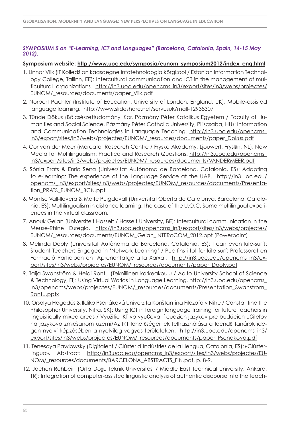### *SYMPOSIUM 5 on "E-Learning, ICT and Languages" (Barcelona, Catalonia, Spain, 14-15 May 2012).*

### **Symposium website: [http://www.uoc.edu/symposia/eunom\\_symposium2012/index\\_eng.html](http://www.uoc.edu/symposia/eunom_symposium2012/index_eng.html)**

- 1. Linnar Viik (IT Kolledž on kaasaegne infotehnoloogia kõrgkool / Estonian Information Technology College, Tallinn, EE): Intercultural communication and ICT in the management of mul[ticultural organizations. http://in3.uoc.edu/opencms\\_in3/export/sites/in3/webs/projectes/](http://in3.uoc.edu/opencms_in3/export/sites/in3/webs/projectes/EUNOM/_resources/documents/paper_Viik.pdf) EUNOM/\_resources/documents/paper\_Viik.pdf
- 2. Norbert Pachler (Institute of Education, University of London, England, UK): Mobile-assisted language learning. <http://www.slideshare.net/servusuk/mall-12938307>
- 3. Tünde Dökus (Bölcsészettudományi Kar, Pázmány Péter Katolikus Egyetem / Faculty of Humanities and Social Science, Pázmány Péter Catholic University, Piliscsaba, HU): Information [and Communication Technologies in Language Teaching. http://in3.uoc.edu/opencms\\_](http://in3.uoc.edu/opencms_in3/export/sites/in3/webs/projectes/EUNOM/_resources/documents/paper_Dokus.pdf) in3/export/sites/in3/webs/projectes/EUNOM/\_resources/documents/paper\_Dokus.pdf
- 4. Cor van der Meer (Mercator Research Centre / Fryske Akademy, Ljouwert, Fryslān, NL): New [Media for Multilingualism: Practice and Research Questions. http://in3.uoc.edu/opencms\\_](http://in3.uoc.edu/opencms_in3/export/sites/in3/webs/projectes/EUNOM/_resources/documents/VANDERMEER.pdf) in3/export/sites/in3/webs/projectes/EUNOM/\_resources/documents/VANDERMEER.pdf
- 5. Sònia Prats & Enric Serra (Universitat Autònoma de Barcelona, Catalonia, ES): Adapting to e-learning: The experience of the Language Service at the UAB. http://in3.uoc.edu/ [opencms\\_in3/export/sites/in3/webs/projectes/EUNOM/\\_resources/documents/Presenta](http://in3.uoc.edu/opencms_in3/export/sites/in3/webs/projectes/EUNOM/_resources/documents/Presentation_PRATS_EUNOM_BCN.ppt)tion\_PRATS\_EUNOM\_BCN.ppt
- 6. Montse Vall-llovera & Maite Puigdevall (Universitat Oberta de Catalunya, Barcelona, Catalonia, ES): Multilingualism in distance learning: the case of the U.O.C. Some multilingual experiences in the virtual classroom.
- 7. Anouk Gelan (Universiteit Hasselt / Hasselt University, BE): Intercultural communication in the [Meuse-Rhine Euregio. http://in3.uoc.edu/opencms\\_in3/export/sites/in3/webs/projectes/](http://in3.uoc.edu/opencms_in3/export/sites/in3/webs/projectes/EUNOM/_resources/documents/EUNOM_Gelan_INTERcCOM_2012.ppt) EUNOM/\_resources/documents/EUNOM\_Gelan\_INTERcCOM\_2012.ppt (Powerpoint)
- 8. Melinda Dooly (Universitat Autònoma de Barcelona, Catalonia, ES): I can even kite-surf!: Student-Teachers Engaged in 'Network Learning' / Puc fins i tot fer kite-surf: Professorat en Formació Participen en 'Aprenentatge a la Xarxa'. [http://in3.uoc.edu/opencms\\_in3/ex](http://in3.uoc.edu/opencms_in3/ex-port/sites/in3/webs/projectes/EUNOM/_resources/documents/paper_Dooly.pdf)[port/sites/in3/webs/projectes/EUNOM/\\_resources/documents/paper\\_Dooly.pdf](http://in3.uoc.edu/opencms_in3/export/sites/in3/webs/projectes/EUNOM/_resources/documents/paper_Dooly.pdf)
- 9. Taija Swanström & Heidi Rontu (Teknillinen korkeakoulu / Aalto University School of Science & Technology, FI): Using Virtual Worlds in Language Learning. http://in3.uoc.edu/opencms\_ [in3/opencms/webs/projectes/EUNOM/\\_resources/documents/Presentation\\_Swanstrom\\_](http://in3.uoc.edu/opencms_in3/opencms/webs/projectes/EUNOM/_resources/documents/Presentation_Swanstrom_Rontu.pptx) Rontu.pptx
- 10. Orsolya Hegedüs & Ildiko Pšenáková Univerzita Konštantína Filozofa v Nitre / Constantine the Philosopher University, Nitra, SK): Using ICT in foreign language training for future teachers in linguistically mixed areas / Využitie IKT vo vyuČovaní cudzích jazykov pre budúcich uČiteľov na jazykovo zmiešanom území/Az IKT lehetőségeinek felhasználása a leendő tanárok idegen nyelvi képzésében a nyelvileg vegyes területeken. http://in3.uoc.edu/opencms in3/ [export/sites/in3/webs/projectes/EUNOM/\\_resources/documents/paper\\_Psenakova.pdf](http://in3.uoc.edu/opencms_in3/export/sites/in3/webs/projectes/EUNOM/_resources/documents/paper_Psenakova.pdf)
- 11. Tenesoya Pawlowsky (Digitalent / Clúster d'Indústries de la Llengua, Catalonia, ES): «Clúster[lingua». Abstract: h](http://in3.uoc.edu/opencms_in3/export/sites/in3/webs/projectes/EUNOM/_resources/documents/BARCELONA_ABSTRACTS_FIN.pdf)[ttp://in3.uoc.edu/opencms\\_in3/export/sites/in3/webs/projectes/E](http://in3.uoc.edu/opencms_in3/export/sites/in3/webs/projectes/EU-NOM/_resources/documents/BARCELO)[U-](http://in3.uoc.edu/opencms_in3/export/sites/in3/webs/projectes/EUNOM/_resources/documents/BARCELONA_ABSTRACTS_FIN.pdf)NOM/\_resources/documents/BARCELONA\_ABSTRACTS\_FIN.pdf, p. 8-9.
- 12. Jochen Rehbein (Orta Doğu Teknik Üniversitesi / Middle East Technical University, Ankara, TR): Integration of computer-assisted linguistic analysis of authentic discourse into the teach-